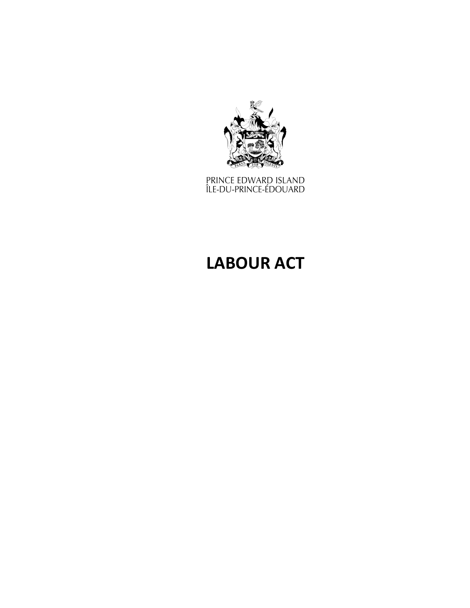

prince edward island<br>Île-du-prince-édouard

# **LABOUR ACT**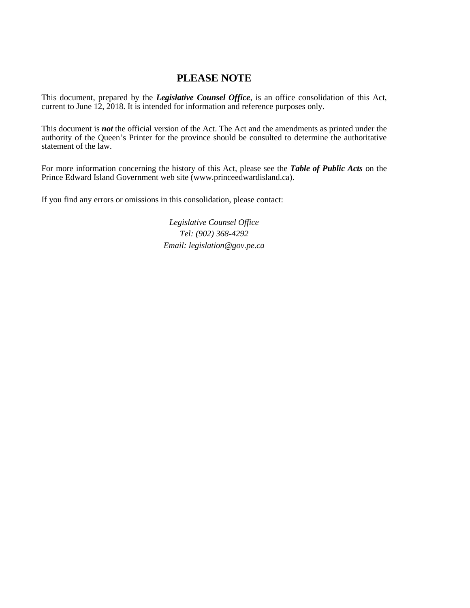# **PLEASE NOTE**

This document, prepared by the *[Legislative](http://www.gov.pe.ca/jps/index.php3?number=1027247) Counsel Office*, is an office consolidation of this Act, current to June 12, 2018. It is intended for information and reference purposes only.

This document is *not* the official version of the Act. The Act and the amendments as printed under the authority of the Queen's Printer for the province should be consulted to determine the authoritative statement of the law.

For more information concerning the history of this Act, please see the *[Table of Public Acts](https://www.princeedwardisland.ca/sites/default/files/publications/leg_table_acts.pdf)* on the Prince Edward Island Government web site (www.princeedwardisland.ca).

If you find any errors or omissions in this consolidation, please contact:

*Legislative Counsel Office Tel: (902) 368-4292 Email: legislation@gov.pe.ca*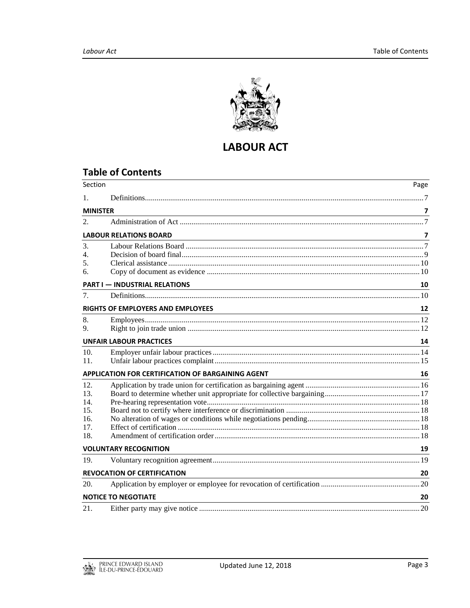

# **LABOUR ACT**

# **Table of Contents**

| Section                    |                                                                                                                                                                                                                                                                       | Page |
|----------------------------|-----------------------------------------------------------------------------------------------------------------------------------------------------------------------------------------------------------------------------------------------------------------------|------|
| 1.                         |                                                                                                                                                                                                                                                                       |      |
| <b>MINISTER</b>            |                                                                                                                                                                                                                                                                       | 7    |
| 2.                         |                                                                                                                                                                                                                                                                       |      |
|                            | <b>LABOUR RELATIONS BOARD</b>                                                                                                                                                                                                                                         | 7    |
| 3.                         |                                                                                                                                                                                                                                                                       |      |
| $\overline{4}$ .           |                                                                                                                                                                                                                                                                       |      |
| 5.                         |                                                                                                                                                                                                                                                                       |      |
| 6.                         |                                                                                                                                                                                                                                                                       |      |
|                            | <b>PART I - INDUSTRIAL RELATIONS</b><br>the control of the control of the control of the control of the control of the control of the control of the control of the control of the control of the control of the control of the control of the control of the control | 10   |
| 7 <sub>1</sub>             |                                                                                                                                                                                                                                                                       |      |
|                            | <b>RIGHTS OF EMPLOYERS AND EMPLOYEES</b>                                                                                                                                                                                                                              | 12   |
| 8.                         |                                                                                                                                                                                                                                                                       |      |
| 9.                         |                                                                                                                                                                                                                                                                       |      |
|                            | <b>UNFAIR LABOUR PRACTICES</b>                                                                                                                                                                                                                                        | 14   |
| 10.                        |                                                                                                                                                                                                                                                                       |      |
| 11.                        |                                                                                                                                                                                                                                                                       |      |
|                            | APPLICATION FOR CERTIFICATION OF BARGAINING AGENT<br><u> 1980 - Johann Barn, mars ann an t-Amhain Aonaich an t-Aonaich an t-Aonaich ann an t-Aonaich ann an t-Aonaich</u>                                                                                             | 16   |
| 12.                        |                                                                                                                                                                                                                                                                       |      |
| 13.                        |                                                                                                                                                                                                                                                                       |      |
| 14.                        |                                                                                                                                                                                                                                                                       |      |
| 15.                        |                                                                                                                                                                                                                                                                       |      |
| 16.<br>17.                 |                                                                                                                                                                                                                                                                       |      |
| 18.                        |                                                                                                                                                                                                                                                                       |      |
|                            | <b>VOLUNTARY RECOGNITION</b>                                                                                                                                                                                                                                          | 19   |
| 19.                        |                                                                                                                                                                                                                                                                       |      |
|                            |                                                                                                                                                                                                                                                                       |      |
|                            | <b>REVOCATION OF CERTIFICATION</b>                                                                                                                                                                                                                                    | 20   |
| 20.                        |                                                                                                                                                                                                                                                                       |      |
| <b>NOTICE TO NEGOTIATE</b> | 20                                                                                                                                                                                                                                                                    |      |
| 21.                        |                                                                                                                                                                                                                                                                       |      |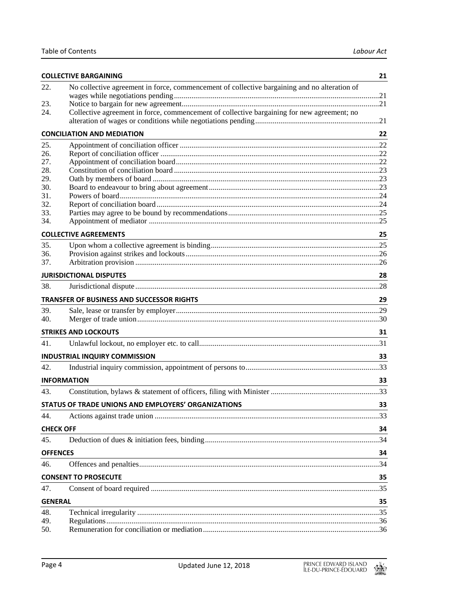|                  | <b>COLLECTIVE BARGAINING</b>                                                                 | 21 |
|------------------|----------------------------------------------------------------------------------------------|----|
| 22.              | No collective agreement in force, commencement of collective bargaining and no alteration of |    |
| 23.              |                                                                                              |    |
| 24.              | Collective agreement in force, commencement of collective bargaining for new agreement; no   |    |
|                  | <b>CONCILIATION AND MEDIATION</b>                                                            | 22 |
| 25.              |                                                                                              |    |
| 26.              |                                                                                              |    |
| 27.              |                                                                                              |    |
| 28.              |                                                                                              |    |
| 29.              |                                                                                              |    |
| 30.              |                                                                                              |    |
| 31.              |                                                                                              |    |
| 32.              |                                                                                              |    |
| 33.              |                                                                                              |    |
| 34.              |                                                                                              |    |
|                  | <b>COLLECTIVE AGREEMENTS</b>                                                                 | 25 |
| 35.              |                                                                                              |    |
| 36.              |                                                                                              |    |
| 37.              |                                                                                              |    |
|                  | <b>JURISDICTIONAL DISPUTES</b>                                                               | 28 |
| 38.              |                                                                                              |    |
|                  | <b>TRANSFER OF BUSINESS AND SUCCESSOR RIGHTS</b>                                             | 29 |
| 39.              |                                                                                              |    |
| 40.              |                                                                                              |    |
|                  | <b>STRIKES AND LOCKOUTS</b>                                                                  | 31 |
| 41.              |                                                                                              |    |
|                  | <b>INDUSTRIAL INQUIRY COMMISSION</b>                                                         | 33 |
| 42.              |                                                                                              |    |
|                  | <b>INFORMATION</b>                                                                           | 33 |
| 43.              |                                                                                              |    |
|                  | STATUS OF TRADE UNIONS AND EMPLOYERS' ORGANIZATIONS                                          | 33 |
| 44.              |                                                                                              | 33 |
| <b>CHECK OFF</b> |                                                                                              | 34 |
| 45.              |                                                                                              |    |
| <b>OFFENCES</b>  |                                                                                              | 34 |
| 46.              |                                                                                              |    |
|                  | <b>CONSENT TO PROSECUTE</b>                                                                  | 35 |
| 47.              |                                                                                              |    |
| <b>GENERAL</b>   |                                                                                              | 35 |
| 48.              |                                                                                              |    |
| 49.              |                                                                                              |    |
| 50.              |                                                                                              |    |

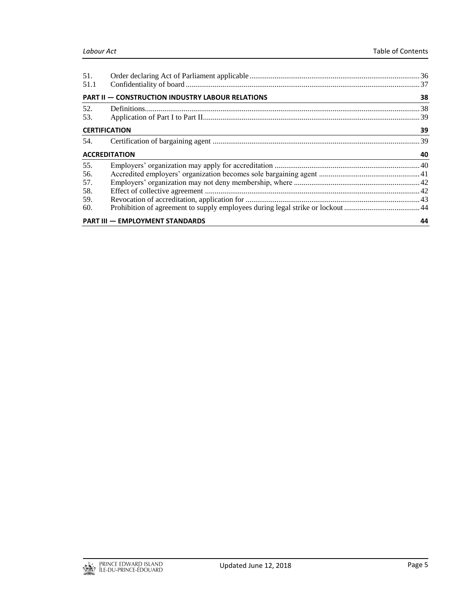| 51.                                    |                                                         |    |
|----------------------------------------|---------------------------------------------------------|----|
| 51.1                                   |                                                         |    |
|                                        | <b>PART II - CONSTRUCTION INDUSTRY LABOUR RELATIONS</b> | 38 |
| 52.                                    |                                                         |    |
| 53.                                    |                                                         |    |
| <b>CERTIFICATION</b>                   | 39                                                      |    |
|                                        |                                                         |    |
| <b>ACCREDITATION</b>                   | 40                                                      |    |
| 55.                                    |                                                         |    |
| 56.                                    |                                                         |    |
| 57.                                    |                                                         |    |
| 58.                                    |                                                         |    |
| 59.                                    |                                                         |    |
| 60.                                    |                                                         |    |
| <b>PART III - EMPLOYMENT STANDARDS</b> |                                                         |    |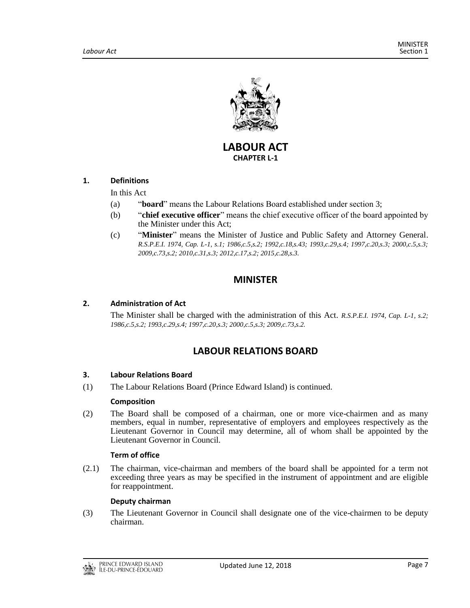

# **LABOUR ACT CHAPTER L-1**

# <span id="page-6-0"></span>**1. Definitions**

In this Act

- (a) "**board**" means the Labour Relations Board established under section 3;
- (b) "**chief executive officer**" means the chief executive officer of the board appointed by the Minister under this Act;
- <span id="page-6-1"></span>(c) "**Minister**" means the Minister of Justice and Public Safety and Attorney General. *R.S.P.E.I. 1974, Cap. L-1, s.1; 1986,c.5,s.2; 1992,c.18,s.43; 1993,c.29,s.4; 1997,c.20,s.3; 2000,c.5,s.3; 2009,c.73,s.2; 2010,c.31,s.3; 2012,c.17,s.2; 2015,c.28,s.3.*

# **MINISTER**

# <span id="page-6-3"></span><span id="page-6-2"></span>**2. Administration of Act**

The Minister shall be charged with the administration of this Act. *R.S.P.E.I. 1974, Cap. L-1, s.2; 1986,c.5,s.2; 1993,c.29,s.4; 1997,c.20,s.3; 2000,c.5,s.3; 2009,c.73,s.2.*

# **LABOUR RELATIONS BOARD**

# <span id="page-6-4"></span>**3. Labour Relations Board**

(1) The Labour Relations Board (Prince Edward Island) is continued.

# **Composition**

(2) The Board shall be composed of a chairman, one or more vice-chairmen and as many members, equal in number, representative of employers and employees respectively as the Lieutenant Governor in Council may determine, all of whom shall be appointed by the Lieutenant Governor in Council.

# **Term of office**

(2.1) The chairman, vice-chairman and members of the board shall be appointed for a term not exceeding three years as may be specified in the instrument of appointment and are eligible for reappointment.

# **Deputy chairman**

(3) The Lieutenant Governor in Council shall designate one of the vice-chairmen to be deputy chairman.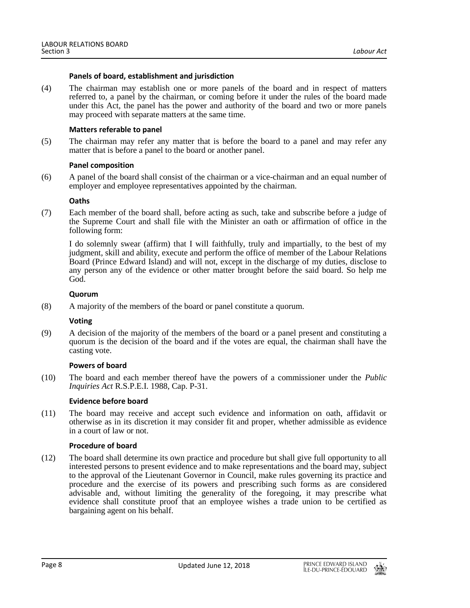#### **Panels of board, establishment and jurisdiction**

(4) The chairman may establish one or more panels of the board and in respect of matters referred to, a panel by the chairman, or coming before it under the rules of the board made under this Act, the panel has the power and authority of the board and two or more panels may proceed with separate matters at the same time.

#### **Matters referable to panel**

(5) The chairman may refer any matter that is before the board to a panel and may refer any matter that is before a panel to the board or another panel.

# **Panel composition**

(6) A panel of the board shall consist of the chairman or a vice-chairman and an equal number of employer and employee representatives appointed by the chairman.

# **Oaths**

(7) Each member of the board shall, before acting as such, take and subscribe before a judge of the Supreme Court and shall file with the Minister an oath or affirmation of office in the following form:

I do solemnly swear (affirm) that I will faithfully, truly and impartially, to the best of my judgment, skill and ability, execute and perform the office of member of the Labour Relations Board (Prince Edward Island) and will not, except in the discharge of my duties, disclose to any person any of the evidence or other matter brought before the said board. So help me God.

# **Quorum**

(8) A majority of the members of the board or panel constitute a quorum.

# **Voting**

(9) A decision of the majority of the members of the board or a panel present and constituting a quorum is the decision of the board and if the votes are equal, the chairman shall have the casting vote.

# **Powers of board**

(10) The board and each member thereof have the powers of a commissioner under the *Public Inquiries Act* R.S.P.E.I. 1988, Cap. P-31.

# **Evidence before board**

(11) The board may receive and accept such evidence and information on oath, affidavit or otherwise as in its discretion it may consider fit and proper, whether admissible as evidence in a court of law or not.

#### **Procedure of board**

(12) The board shall determine its own practice and procedure but shall give full opportunity to all interested persons to present evidence and to make representations and the board may, subject to the approval of the Lieutenant Governor in Council, make rules governing its practice and procedure and the exercise of its powers and prescribing such forms as are considered advisable and, without limiting the generality of the foregoing, it may prescribe what evidence shall constitute proof that an employee wishes a trade union to be certified as bargaining agent on his behalf.

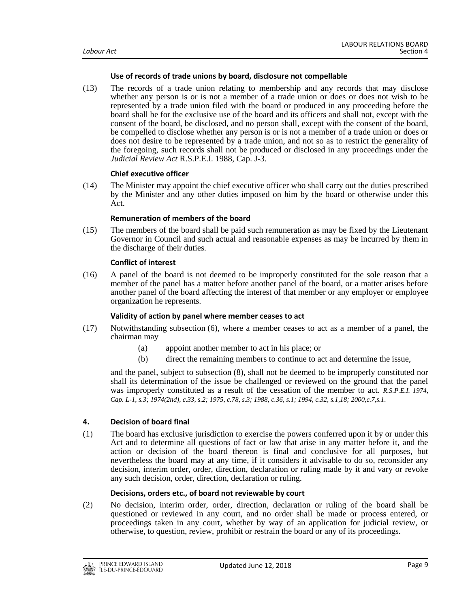#### **Use of records of trade unions by board, disclosure not compellable**

(13) The records of a trade union relating to membership and any records that may disclose whether any person is or is not a member of a trade union or does or does not wish to be represented by a trade union filed with the board or produced in any proceeding before the board shall be for the exclusive use of the board and its officers and shall not, except with the consent of the board, be disclosed, and no person shall, except with the consent of the board, be compelled to disclose whether any person is or is not a member of a trade union or does or does not desire to be represented by a trade union, and not so as to restrict the generality of the foregoing, such records shall not be produced or disclosed in any proceedings under the *Judicial Review Act* R.S.P.E.I. 1988, Cap. J-3.

# **Chief executive officer**

(14) The Minister may appoint the chief executive officer who shall carry out the duties prescribed by the Minister and any other duties imposed on him by the board or otherwise under this Act.

#### **Remuneration of members of the board**

(15) The members of the board shall be paid such remuneration as may be fixed by the Lieutenant Governor in Council and such actual and reasonable expenses as may be incurred by them in the discharge of their duties.

# **Conflict of interest**

(16) A panel of the board is not deemed to be improperly constituted for the sole reason that a member of the panel has a matter before another panel of the board, or a matter arises before another panel of the board affecting the interest of that member or any employer or employee organization he represents.

#### **Validity of action by panel where member ceases to act**

- (17) Notwithstanding subsection (6), where a member ceases to act as a member of a panel, the chairman may
	- (a) appoint another member to act in his place; or
	- (b) direct the remaining members to continue to act and determine the issue,

and the panel, subject to subsection (8), shall not be deemed to be improperly constituted nor shall its determination of the issue be challenged or reviewed on the ground that the panel was improperly constituted as a result of the cessation of the member to act. *R.S.P.E.I. 1974, Cap. L-1, s.3; 1974(2nd), c.33, s.2; 1975, c.78, s.3; 1988, c.36, s.1; 1994, c.32, s.1,18; 2000,c.7,s.1.*

# <span id="page-8-0"></span>**4. Decision of board final**

(1) The board has exclusive jurisdiction to exercise the powers conferred upon it by or under this Act and to determine all questions of fact or law that arise in any matter before it, and the action or decision of the board thereon is final and conclusive for all purposes, but nevertheless the board may at any time, if it considers it advisable to do so, reconsider any decision, interim order, order, direction, declaration or ruling made by it and vary or revoke any such decision, order, direction, declaration or ruling.

# **Decisions, orders etc., of board not reviewable by court**

(2) No decision, interim order, order, direction, declaration or ruling of the board shall be questioned or reviewed in any court, and no order shall be made or process entered, or proceedings taken in any court, whether by way of an application for judicial review, or otherwise, to question, review, prohibit or restrain the board or any of its proceedings.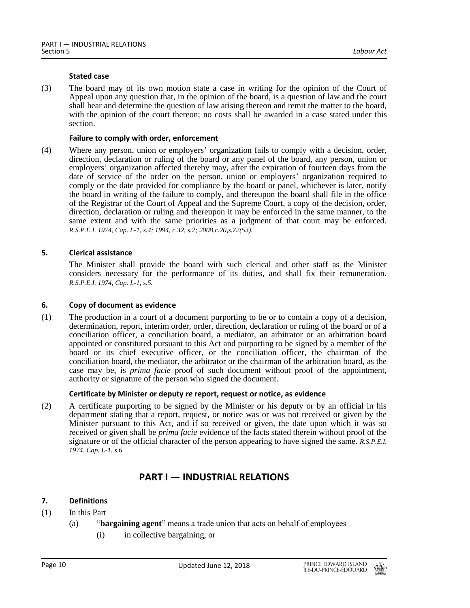#### **Stated case**

(3) The board may of its own motion state a case in writing for the opinion of the Court of Appeal upon any question that, in the opinion of the board, is a question of law and the court shall hear and determine the question of law arising thereon and remit the matter to the board, with the opinion of the court thereon; no costs shall be awarded in a case stated under this section.

# **Failure to comply with order, enforcement**

(4) Where any person, union or employers' organization fails to comply with a decision, order, direction, declaration or ruling of the board or any panel of the board, any person, union or employers' organization affected thereby may, after the expiration of fourteen days from the date of service of the order on the person, union or employers' organization required to comply or the date provided for compliance by the board or panel, whichever is later, notify the board in writing of the failure to comply, and thereupon the board shall file in the office of the Registrar of the Court of Appeal and the Supreme Court, a copy of the decision, order, direction, declaration or ruling and thereupon it may be enforced in the same manner, to the same extent and with the same priorities as a judgment of that court may be enforced. *R.S.P.E.I. 1974, Cap. L-1, s.4; 1994, c.32, s.2; 2008,c.20,s.72(53).*

#### <span id="page-9-0"></span>**5. Clerical assistance**

The Minister shall provide the board with such clerical and other staff as the Minister considers necessary for the performance of its duties, and shall fix their remuneration. *R.S.P.E.I. 1974, Cap. L-1, s.5.*

#### <span id="page-9-1"></span>**6. Copy of document as evidence**

(1) The production in a court of a document purporting to be or to contain a copy of a decision, determination, report, interim order, order, direction, declaration or ruling of the board or of a conciliation officer, a conciliation board, a mediator, an arbitrator or an arbitration board appointed or constituted pursuant to this Act and purporting to be signed by a member of the board or its chief executive officer, or the conciliation officer, the chairman of the conciliation board, the mediator, the arbitrator or the chairman of the arbitration board, as the case may be, is *prima facie* proof of such document without proof of the appointment, authority or signature of the person who signed the document.

#### **Certificate by Minister or deputy** *re* **report, request or notice, as evidence**

(2) A certificate purporting to be signed by the Minister or his deputy or by an official in his department stating that a report, request, or notice was or was not received or given by the Minister pursuant to this Act, and if so received or given, the date upon which it was so received or given shall be *prima facie* evidence of the facts stated therein without proof of the signature or of the official character of the person appearing to have signed the same. *R.S.P.E.I. 1974, Cap. L-1, s.6.*

# **PART I — INDUSTRIAL RELATIONS**

# <span id="page-9-3"></span><span id="page-9-2"></span>**7. Definitions**

- (1) In this Part
	- (a) "**bargaining agent**" means a trade union that acts on behalf of employees
		- (i) in collective bargaining, or

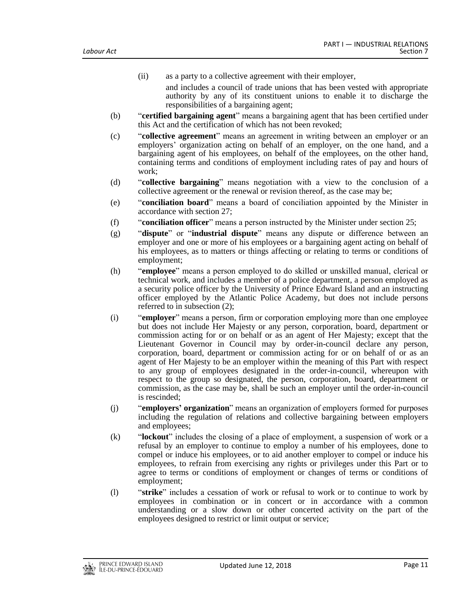- (ii) as a party to a collective agreement with their employer, and includes a council of trade unions that has been vested with appropriate authority by any of its constituent unions to enable it to discharge the responsibilities of a bargaining agent;
- (b) "**certified bargaining agent**" means a bargaining agent that has been certified under this Act and the certification of which has not been revoked;
- (c) "**collective agreement**" means an agreement in writing between an employer or an employers' organization acting on behalf of an employer, on the one hand, and a bargaining agent of his employees, on behalf of the employees, on the other hand, containing terms and conditions of employment including rates of pay and hours of work;
- (d) "**collective bargaining**" means negotiation with a view to the conclusion of a collective agreement or the renewal or revision thereof, as the case may be;
- (e) "**conciliation board**" means a board of conciliation appointed by the Minister in accordance with section 27;
- (f) "**conciliation officer**" means a person instructed by the Minister under section 25;
- (g) "**dispute**" or "**industrial dispute**" means any dispute or difference between an employer and one or more of his employees or a bargaining agent acting on behalf of his employees, as to matters or things affecting or relating to terms or conditions of employment;
- (h) "**employee**" means a person employed to do skilled or unskilled manual, clerical or technical work, and includes a member of a police department, a person employed as a security police officer by the University of Prince Edward Island and an instructing officer employed by the Atlantic Police Academy, but does not include persons referred to in subsection (2);
- (i) "**employer**" means a person, firm or corporation employing more than one employee but does not include Her Majesty or any person, corporation, board, department or commission acting for or on behalf or as an agent of Her Majesty; except that the Lieutenant Governor in Council may by order-in-council declare any person, corporation, board, department or commission acting for or on behalf of or as an agent of Her Majesty to be an employer within the meaning of this Part with respect to any group of employees designated in the order-in-council, whereupon with respect to the group so designated, the person, corporation, board, department or commission, as the case may be, shall be such an employer until the order-in-council is rescinded;
- (j) "**employers' organization**" means an organization of employers formed for purposes including the regulation of relations and collective bargaining between employers and employees;
- (k) "**lockout**" includes the closing of a place of employment, a suspension of work or a refusal by an employer to continue to employ a number of his employees, done to compel or induce his employees, or to aid another employer to compel or induce his employees, to refrain from exercising any rights or privileges under this Part or to agree to terms or conditions of employment or changes of terms or conditions of employment;
- (l) "**strike**" includes a cessation of work or refusal to work or to continue to work by employees in combination or in concert or in accordance with a common understanding or a slow down or other concerted activity on the part of the employees designed to restrict or limit output or service;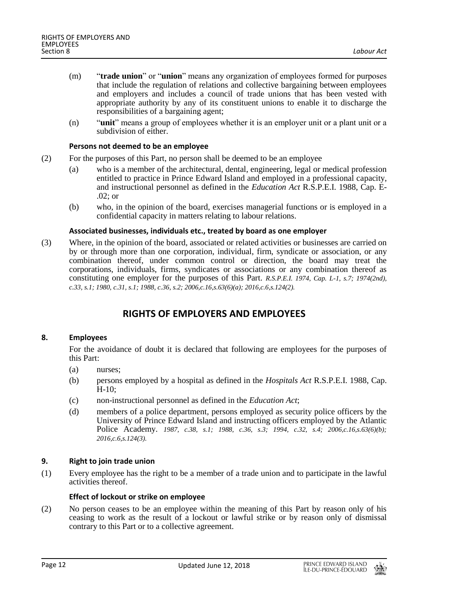- (m) "**trade union**" or "**union**" means any organization of employees formed for purposes that include the regulation of relations and collective bargaining between employees and employers and includes a council of trade unions that has been vested with appropriate authority by any of its constituent unions to enable it to discharge the responsibilities of a bargaining agent;
- (n) "**unit**" means a group of employees whether it is an employer unit or a plant unit or a subdivision of either.

#### **Persons not deemed to be an employee**

- (2) For the purposes of this Part, no person shall be deemed to be an employee
	- (a) who is a member of the architectural, dental, engineering, legal or medical profession entitled to practice in Prince Edward Island and employed in a professional capacity, and instructional personnel as defined in the *Education Act* R.S.P.E.I. 1988, Cap. E- .02; or
	- (b) who, in the opinion of the board, exercises managerial functions or is employed in a confidential capacity in matters relating to labour relations.

#### **Associated businesses, individuals etc., treated by board as one employer**

(3) Where, in the opinion of the board, associated or related activities or businesses are carried on by or through more than one corporation, individual, firm, syndicate or association, or any combination thereof, under common control or direction, the board may treat the corporations, individuals, firms, syndicates or associations or any combination thereof as constituting one employer for the purposes of this Part. *R.S.P.E.I. 1974, Cap. L-1, s.7; 1974(2nd), c.33, s.1; 1980, c.31, s.1; 1988, c.36, s.2; 2006,c.16,s.63(6)(a); 2016,c.6,s.124(2).*

# **RIGHTS OF EMPLOYERS AND EMPLOYEES**

# <span id="page-11-1"></span><span id="page-11-0"></span>**8. Employees**

For the avoidance of doubt it is declared that following are employees for the purposes of this Part:

- (a) nurses;
- (b) persons employed by a hospital as defined in the *Hospitals Act* R.S.P.E.I. 1988, Cap. H-10;
- (c) non-instructional personnel as defined in the *Education Act*;
- (d) members of a police department, persons employed as security police officers by the University of Prince Edward Island and instructing officers employed by the Atlantic Police Academy. *1987, c.38, s.1; 1988, c.36, s.3; 1994, c.32, s.4; 2006,c.16,s.63(6)(b); 2016,c.6,s.124(3).*

# <span id="page-11-2"></span>**9. Right to join trade union**

(1) Every employee has the right to be a member of a trade union and to participate in the lawful activities thereof.

#### **Effect of lockout or strike on employee**

(2) No person ceases to be an employee within the meaning of this Part by reason only of his ceasing to work as the result of a lockout or lawful strike or by reason only of dismissal contrary to this Part or to a collective agreement.

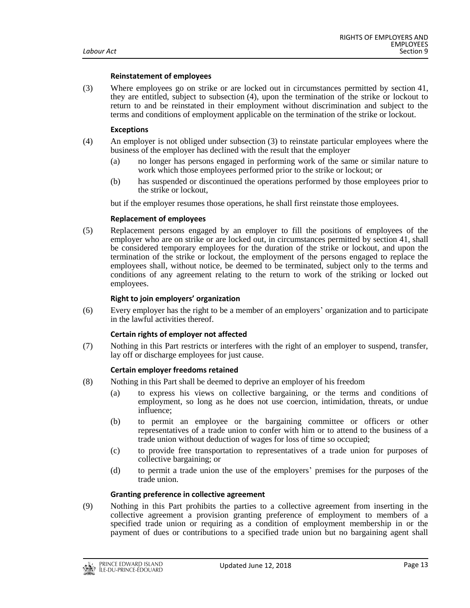#### **Reinstatement of employees**

(3) Where employees go on strike or are locked out in circumstances permitted by section 41, they are entitled, subject to subsection (4), upon the termination of the strike or lockout to return to and be reinstated in their employment without discrimination and subject to the terms and conditions of employment applicable on the termination of the strike or lockout.

#### **Exceptions**

- (4) An employer is not obliged under subsection (3) to reinstate particular employees where the business of the employer has declined with the result that the employer
	- (a) no longer has persons engaged in performing work of the same or similar nature to work which those employees performed prior to the strike or lockout; or
	- (b) has suspended or discontinued the operations performed by those employees prior to the strike or lockout,

but if the employer resumes those operations, he shall first reinstate those employees.

#### **Replacement of employees**

(5) Replacement persons engaged by an employer to fill the positions of employees of the employer who are on strike or are locked out, in circumstances permitted by section 41, shall be considered temporary employees for the duration of the strike or lockout, and upon the termination of the strike or lockout, the employment of the persons engaged to replace the employees shall, without notice, be deemed to be terminated, subject only to the terms and conditions of any agreement relating to the return to work of the striking or locked out employees.

#### **Right to join employers' organization**

(6) Every employer has the right to be a member of an employers' organization and to participate in the lawful activities thereof.

#### **Certain rights of employer not affected**

(7) Nothing in this Part restricts or interferes with the right of an employer to suspend, transfer, lay off or discharge employees for just cause.

#### **Certain employer freedoms retained**

- (8) Nothing in this Part shall be deemed to deprive an employer of his freedom
	- (a) to express his views on collective bargaining, or the terms and conditions of employment, so long as he does not use coercion, intimidation, threats, or undue influence;
	- (b) to permit an employee or the bargaining committee or officers or other representatives of a trade union to confer with him or to attend to the business of a trade union without deduction of wages for loss of time so occupied;
	- (c) to provide free transportation to representatives of a trade union for purposes of collective bargaining; or
	- (d) to permit a trade union the use of the employers' premises for the purposes of the trade union.

#### **Granting preference in collective agreement**

(9) Nothing in this Part prohibits the parties to a collective agreement from inserting in the collective agreement a provision granting preference of employment to members of a specified trade union or requiring as a condition of employment membership in or the payment of dues or contributions to a specified trade union but no bargaining agent shall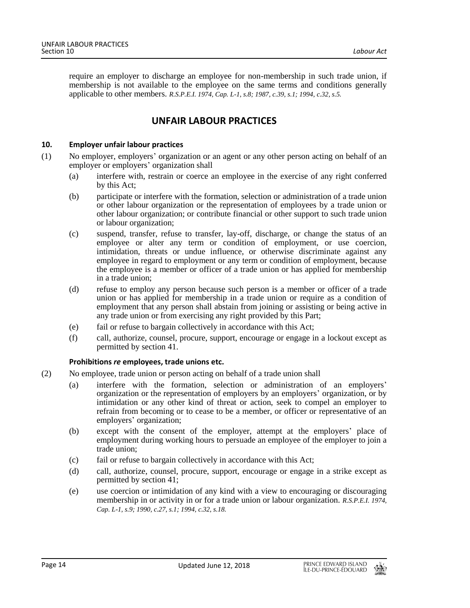<span id="page-13-0"></span>require an employer to discharge an employee for non-membership in such trade union, if membership is not available to the employee on the same terms and conditions generally applicable to other members. *R.S.P.E.I. 1974, Cap. L-1, s.8; 1987, c.39, s.1; 1994, c.32, s.5.*

# **UNFAIR LABOUR PRACTICES**

# <span id="page-13-1"></span>**10. Employer unfair labour practices**

- (1) No employer, employers' organization or an agent or any other person acting on behalf of an employer or employers' organization shall
	- (a) interfere with, restrain or coerce an employee in the exercise of any right conferred by this Act;
	- (b) participate or interfere with the formation, selection or administration of a trade union or other labour organization or the representation of employees by a trade union or other labour organization; or contribute financial or other support to such trade union or labour organization;
	- (c) suspend, transfer, refuse to transfer, lay-off, discharge, or change the status of an employee or alter any term or condition of employment, or use coercion, intimidation, threats or undue influence, or otherwise discriminate against any employee in regard to employment or any term or condition of employment, because the employee is a member or officer of a trade union or has applied for membership in a trade union;
	- (d) refuse to employ any person because such person is a member or officer of a trade union or has applied for membership in a trade union or require as a condition of employment that any person shall abstain from joining or assisting or being active in any trade union or from exercising any right provided by this Part;
	- (e) fail or refuse to bargain collectively in accordance with this Act;
	- (f) call, authorize, counsel, procure, support, encourage or engage in a lockout except as permitted by section 41.

# **Prohibitions** *re* **employees, trade unions etc.**

- (2) No employee, trade union or person acting on behalf of a trade union shall
	- (a) interfere with the formation, selection or administration of an employers' organization or the representation of employers by an employers' organization, or by intimidation or any other kind of threat or action, seek to compel an employer to refrain from becoming or to cease to be a member, or officer or representative of an employers' organization;
	- (b) except with the consent of the employer, attempt at the employers' place of employment during working hours to persuade an employee of the employer to join a trade union;
	- (c) fail or refuse to bargain collectively in accordance with this Act;
	- (d) call, authorize, counsel, procure, support, encourage or engage in a strike except as permitted by section 41;
	- (e) use coercion or intimidation of any kind with a view to encouraging or discouraging membership in or activity in or for a trade union or labour organization. *R.S.P.E.I. 1974, Cap. L-1, s.9; 1990, c.27, s.1; 1994, c.32, s.18.*

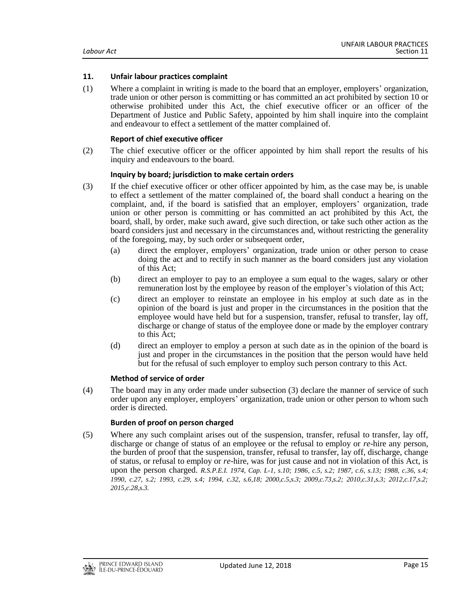#### <span id="page-14-0"></span>**11. Unfair labour practices complaint**

(1) Where a complaint in writing is made to the board that an employer, employers' organization, trade union or other person is committing or has committed an act prohibited by section 10 or otherwise prohibited under this Act, the chief executive officer or an officer of the Department of Justice and Public Safety, appointed by him shall inquire into the complaint and endeavour to effect a settlement of the matter complained of.

# **Report of chief executive officer**

(2) The chief executive officer or the officer appointed by him shall report the results of his inquiry and endeavours to the board.

# **Inquiry by board; jurisdiction to make certain orders**

- (3) If the chief executive officer or other officer appointed by him, as the case may be, is unable to effect a settlement of the matter complained of, the board shall conduct a hearing on the complaint, and, if the board is satisfied that an employer, employers' organization, trade union or other person is committing or has committed an act prohibited by this Act, the board, shall, by order, make such award, give such direction, or take such other action as the board considers just and necessary in the circumstances and, without restricting the generality of the foregoing, may, by such order or subsequent order,
	- (a) direct the employer, employers' organization, trade union or other person to cease doing the act and to rectify in such manner as the board considers just any violation of this Act;
	- (b) direct an employer to pay to an employee a sum equal to the wages, salary or other remuneration lost by the employee by reason of the employer's violation of this Act;
	- (c) direct an employer to reinstate an employee in his employ at such date as in the opinion of the board is just and proper in the circumstances in the position that the employee would have held but for a suspension, transfer, refusal to transfer, lay off, discharge or change of status of the employee done or made by the employer contrary to this Act;
	- (d) direct an employer to employ a person at such date as in the opinion of the board is just and proper in the circumstances in the position that the person would have held but for the refusal of such employer to employ such person contrary to this Act.

#### **Method of service of order**

(4) The board may in any order made under subsection (3) declare the manner of service of such order upon any employer, employers' organization, trade union or other person to whom such order is directed.

# **Burden of proof on person charged**

(5) Where any such complaint arises out of the suspension, transfer, refusal to transfer, lay off, discharge or change of status of an employee or the refusal to employ or *re*-hire any person, the burden of proof that the suspension, transfer, refusal to transfer, lay off, discharge, change of status, or refusal to employ or *re*-hire, was for just cause and not in violation of this Act, is upon the person charged. *R.S.P.E.I. 1974, Cap. L-1, s.10; 1986, c.5, s.2; 1987, c.6, s.13; 1988, c.36, s.4; 1990, c.27, s.2; 1993, c.29, s.4; 1994, c.32, s.6,18; 2000,c.5,s.3; 2009,c.73,s.2; 2010,c.31,s.3; 2012,c.17,s.2; 2015,c.28,s.3.*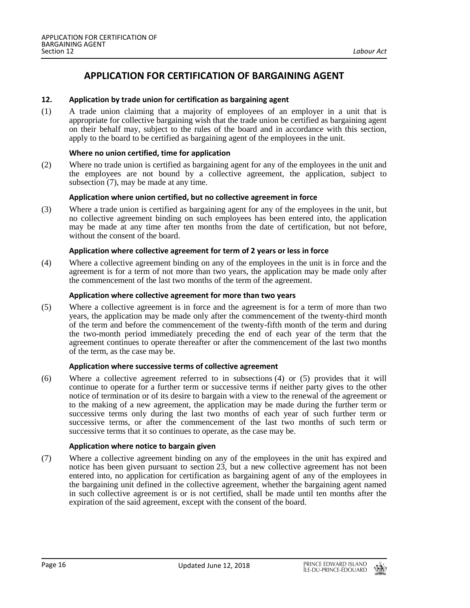# **APPLICATION FOR CERTIFICATION OF BARGAINING AGENT**

# <span id="page-15-1"></span><span id="page-15-0"></span>**12. Application by trade union for certification as bargaining agent**

(1) A trade union claiming that a majority of employees of an employer in a unit that is appropriate for collective bargaining wish that the trade union be certified as bargaining agent on their behalf may, subject to the rules of the board and in accordance with this section, apply to the board to be certified as bargaining agent of the employees in the unit.

#### **Where no union certified, time for application**

(2) Where no trade union is certified as bargaining agent for any of the employees in the unit and the employees are not bound by a collective agreement, the application, subject to subsection (7), may be made at any time.

#### **Application where union certified, but no collective agreement in force**

(3) Where a trade union is certified as bargaining agent for any of the employees in the unit, but no collective agreement binding on such employees has been entered into, the application may be made at any time after ten months from the date of certification, but not before, without the consent of the board.

# **Application where collective agreement for term of 2 years or less in force**

(4) Where a collective agreement binding on any of the employees in the unit is in force and the agreement is for a term of not more than two years, the application may be made only after the commencement of the last two months of the term of the agreement.

# **Application where collective agreement for more than two years**

(5) Where a collective agreement is in force and the agreement is for a term of more than two years, the application may be made only after the commencement of the twenty-third month of the term and before the commencement of the twenty-fifth month of the term and during the two-month period immediately preceding the end of each year of the term that the agreement continues to operate thereafter or after the commencement of the last two months of the term, as the case may be.

#### **Application where successive terms of collective agreement**

(6) Where a collective agreement referred to in subsections (4) or (5) provides that it will continue to operate for a further term or successive terms if neither party gives to the other notice of termination or of its desire to bargain with a view to the renewal of the agreement or to the making of a new agreement, the application may be made during the further term or successive terms only during the last two months of each year of such further term or successive terms, or after the commencement of the last two months of such term or successive terms that it so continues to operate, as the case may be.

#### **Application where notice to bargain given**

(7) Where a collective agreement binding on any of the employees in the unit has expired and notice has been given pursuant to section 23, but a new collective agreement has not been entered into, no application for certification as bargaining agent of any of the employees in the bargaining unit defined in the collective agreement, whether the bargaining agent named in such collective agreement is or is not certified, shall be made until ten months after the expiration of the said agreement, except with the consent of the board.

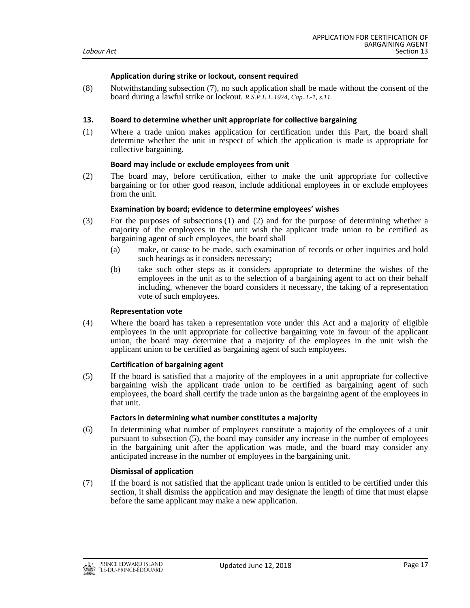#### **Application during strike or lockout, consent required**

(8) Notwithstanding subsection (7), no such application shall be made without the consent of the board during a lawful strike or lockout. *R.S.P.E.I. 1974, Cap. L-1, s.11.*

#### <span id="page-16-0"></span>**13. Board to determine whether unit appropriate for collective bargaining**

(1) Where a trade union makes application for certification under this Part, the board shall determine whether the unit in respect of which the application is made is appropriate for collective bargaining.

#### **Board may include or exclude employees from unit**

(2) The board may, before certification, either to make the unit appropriate for collective bargaining or for other good reason, include additional employees in or exclude employees from the unit.

#### **Examination by board; evidence to determine employees' wishes**

- (3) For the purposes of subsections (1) and (2) and for the purpose of determining whether a majority of the employees in the unit wish the applicant trade union to be certified as bargaining agent of such employees, the board shall
	- (a) make, or cause to be made, such examination of records or other inquiries and hold such hearings as it considers necessary;
	- (b) take such other steps as it considers appropriate to determine the wishes of the employees in the unit as to the selection of a bargaining agent to act on their behalf including, whenever the board considers it necessary, the taking of a representation vote of such employees.

#### **Representation vote**

(4) Where the board has taken a representation vote under this Act and a majority of eligible employees in the unit appropriate for collective bargaining vote in favour of the applicant union, the board may determine that a majority of the employees in the unit wish the applicant union to be certified as bargaining agent of such employees.

#### **Certification of bargaining agent**

(5) If the board is satisfied that a majority of the employees in a unit appropriate for collective bargaining wish the applicant trade union to be certified as bargaining agent of such employees, the board shall certify the trade union as the bargaining agent of the employees in that unit.

#### **Factors in determining what number constitutes a majority**

(6) In determining what number of employees constitute a majority of the employees of a unit pursuant to subsection (5), the board may consider any increase in the number of employees in the bargaining unit after the application was made, and the board may consider any anticipated increase in the number of employees in the bargaining unit.

#### **Dismissal of application**

(7) If the board is not satisfied that the applicant trade union is entitled to be certified under this section, it shall dismiss the application and may designate the length of time that must elapse before the same applicant may make a new application.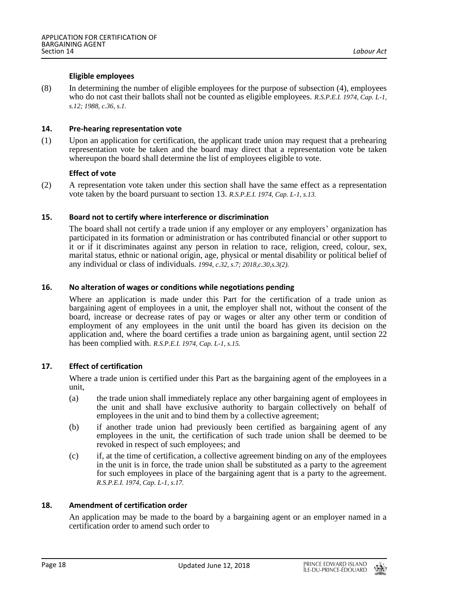# **Eligible employees**

(8) In determining the number of eligible employees for the purpose of subsection (4), employees who do not cast their ballots shall not be counted as eligible employees. *R.S.P.E.I. 1974, Cap. L-1, s.12; 1988, c.36, s.1.*

# <span id="page-17-0"></span>**14. Pre-hearing representation vote**

(1) Upon an application for certification, the applicant trade union may request that a prehearing representation vote be taken and the board may direct that a representation vote be taken whereupon the board shall determine the list of employees eligible to vote.

# **Effect of vote**

(2) A representation vote taken under this section shall have the same effect as a representation vote taken by the board pursuant to section 13. *R.S.P.E.I. 1974, Cap. L-1, s.13.*

# <span id="page-17-1"></span>**15. Board not to certify where interference or discrimination**

The board shall not certify a trade union if any employer or any employers' organization has participated in its formation or administration or has contributed financial or other support to it or if it discriminates against any person in relation to race, religion, creed, colour, sex, marital status, ethnic or national origin, age, physical or mental disability or political belief of any individual or class of individuals. *1994, c.32, s.7; 2018,c.30,s.3(2).*

# <span id="page-17-2"></span>**16. No alteration of wages or conditions while negotiations pending**

Where an application is made under this Part for the certification of a trade union as bargaining agent of employees in a unit, the employer shall not, without the consent of the board, increase or decrease rates of pay or wages or alter any other term or condition of employment of any employees in the unit until the board has given its decision on the application and, where the board certifies a trade union as bargaining agent, until section 22 has been complied with. *R.S.P.E.I. 1974, Cap. L-1, s.15.*

# <span id="page-17-3"></span>**17. Effect of certification**

Where a trade union is certified under this Part as the bargaining agent of the employees in a unit,

- (a) the trade union shall immediately replace any other bargaining agent of employees in the unit and shall have exclusive authority to bargain collectively on behalf of employees in the unit and to bind them by a collective agreement;
- (b) if another trade union had previously been certified as bargaining agent of any employees in the unit, the certification of such trade union shall be deemed to be revoked in respect of such employees; and
- (c) if, at the time of certification, a collective agreement binding on any of the employees in the unit is in force, the trade union shall be substituted as a party to the agreement for such employees in place of the bargaining agent that is a party to the agreement. *R.S.P.E.I. 1974, Cap. L-1, s.17.*

# <span id="page-17-4"></span>**18. Amendment of certification order**

An application may be made to the board by a bargaining agent or an employer named in a certification order to amend such order to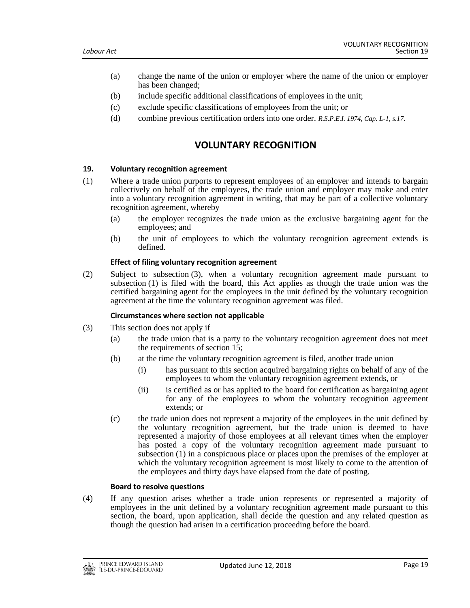- (a) change the name of the union or employer where the name of the union or employer has been changed;
- (b) include specific additional classifications of employees in the unit;
- (c) exclude specific classifications of employees from the unit; or
- <span id="page-18-0"></span>(d) combine previous certification orders into one order. *R.S.P.E.I. 1974, Cap. L-1, s.17.*

# **VOLUNTARY RECOGNITION**

# <span id="page-18-1"></span>**19. Voluntary recognition agreement**

- (1) Where a trade union purports to represent employees of an employer and intends to bargain collectively on behalf of the employees, the trade union and employer may make and enter into a voluntary recognition agreement in writing, that may be part of a collective voluntary recognition agreement, whereby
	- (a) the employer recognizes the trade union as the exclusive bargaining agent for the employees; and
	- (b) the unit of employees to which the voluntary recognition agreement extends is defined.

# **Effect of filing voluntary recognition agreement**

(2) Subject to subsection (3), when a voluntary recognition agreement made pursuant to subsection (1) is filed with the board, this Act applies as though the trade union was the certified bargaining agent for the employees in the unit defined by the voluntary recognition agreement at the time the voluntary recognition agreement was filed.

#### **Circumstances where section not applicable**

- (3) This section does not apply if
	- (a) the trade union that is a party to the voluntary recognition agreement does not meet the requirements of section 15;
	- (b) at the time the voluntary recognition agreement is filed, another trade union
		- (i) has pursuant to this section acquired bargaining rights on behalf of any of the employees to whom the voluntary recognition agreement extends, or
		- (ii) is certified as or has applied to the board for certification as bargaining agent for any of the employees to whom the voluntary recognition agreement extends; or
	- (c) the trade union does not represent a majority of the employees in the unit defined by the voluntary recognition agreement, but the trade union is deemed to have represented a majority of those employees at all relevant times when the employer has posted a copy of the voluntary recognition agreement made pursuant to subsection (1) in a conspicuous place or places upon the premises of the employer at which the voluntary recognition agreement is most likely to come to the attention of the employees and thirty days have elapsed from the date of posting.

#### **Board to resolve questions**

(4) If any question arises whether a trade union represents or represented a majority of employees in the unit defined by a voluntary recognition agreement made pursuant to this section, the board, upon application, shall decide the question and any related question as though the question had arisen in a certification proceeding before the board.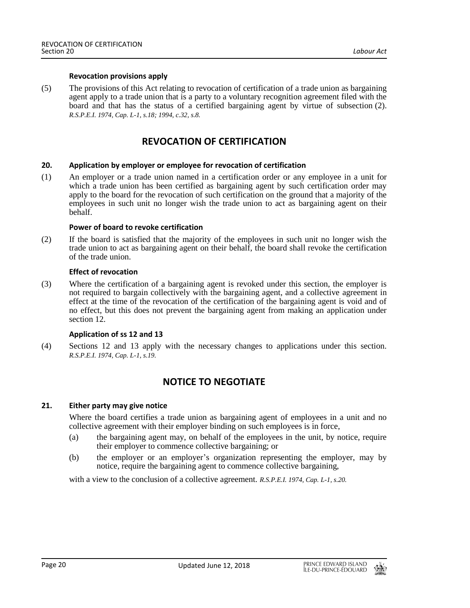#### **Revocation provisions apply**

<span id="page-19-0"></span>(5) The provisions of this Act relating to revocation of certification of a trade union as bargaining agent apply to a trade union that is a party to a voluntary recognition agreement filed with the board and that has the status of a certified bargaining agent by virtue of subsection (2). *R.S.P.E.I. 1974, Cap. L-1, s.18; 1994, c.32, s.8.*

# **REVOCATION OF CERTIFICATION**

# <span id="page-19-1"></span>**20. Application by employer or employee for revocation of certification**

(1) An employer or a trade union named in a certification order or any employee in a unit for which a trade union has been certified as bargaining agent by such certification order may apply to the board for the revocation of such certification on the ground that a majority of the employees in such unit no longer wish the trade union to act as bargaining agent on their behalf.

#### **Power of board to revoke certification**

(2) If the board is satisfied that the majority of the employees in such unit no longer wish the trade union to act as bargaining agent on their behalf, the board shall revoke the certification of the trade union.

# **Effect of revocation**

(3) Where the certification of a bargaining agent is revoked under this section, the employer is not required to bargain collectively with the bargaining agent, and a collective agreement in effect at the time of the revocation of the certification of the bargaining agent is void and of no effect, but this does not prevent the bargaining agent from making an application under section 12.

# **Application of ss 12 and 13**

<span id="page-19-2"></span>(4) Sections 12 and 13 apply with the necessary changes to applications under this section. *R.S.P.E.I. 1974, Cap. L-1, s.19.*

# **NOTICE TO NEGOTIATE**

# <span id="page-19-3"></span>**21. Either party may give notice**

Where the board certifies a trade union as bargaining agent of employees in a unit and no collective agreement with their employer binding on such employees is in force,

- (a) the bargaining agent may, on behalf of the employees in the unit, by notice, require their employer to commence collective bargaining; or
- (b) the employer or an employer's organization representing the employer, may by notice, require the bargaining agent to commence collective bargaining,

with a view to the conclusion of a collective agreement. *R.S.P.E.I. 1974, Cap. L-1, s.20.*

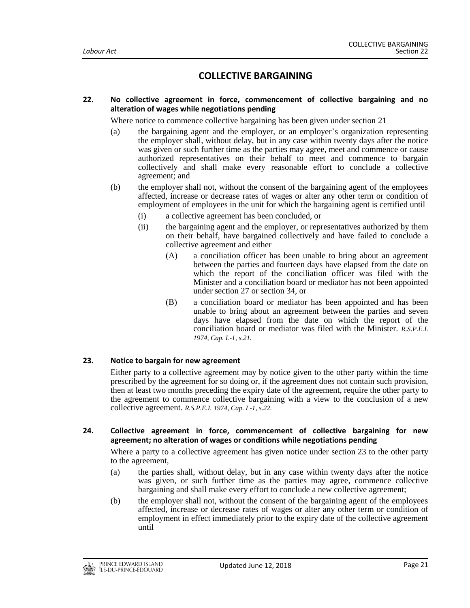# **COLLECTIVE BARGAINING**

# <span id="page-20-1"></span><span id="page-20-0"></span>**22. No collective agreement in force, commencement of collective bargaining and no alteration of wages while negotiations pending**

Where notice to commence collective bargaining has been given under section 21

- (a) the bargaining agent and the employer, or an employer's organization representing the employer shall, without delay, but in any case within twenty days after the notice was given or such further time as the parties may agree, meet and commence or cause authorized representatives on their behalf to meet and commence to bargain collectively and shall make every reasonable effort to conclude a collective agreement; and
- (b) the employer shall not, without the consent of the bargaining agent of the employees affected, increase or decrease rates of wages or alter any other term or condition of employment of employees in the unit for which the bargaining agent is certified until
	- (i) a collective agreement has been concluded, or
	- (ii) the bargaining agent and the employer, or representatives authorized by them on their behalf, have bargained collectively and have failed to conclude a collective agreement and either
		- (A) a conciliation officer has been unable to bring about an agreement between the parties and fourteen days have elapsed from the date on which the report of the conciliation officer was filed with the Minister and a conciliation board or mediator has not been appointed under section 27 or section 34, or
		- (B) a conciliation board or mediator has been appointed and has been unable to bring about an agreement between the parties and seven days have elapsed from the date on which the report of the conciliation board or mediator was filed with the Minister. *R.S.P.E.I. 1974, Cap. L-1, s.21.*

# <span id="page-20-2"></span>**23. Notice to bargain for new agreement**

Either party to a collective agreement may by notice given to the other party within the time prescribed by the agreement for so doing or, if the agreement does not contain such provision, then at least two months preceding the expiry date of the agreement, require the other party to the agreement to commence collective bargaining with a view to the conclusion of a new collective agreement. *R.S.P.E.I. 1974, Cap. L-1, s.22.*

#### <span id="page-20-3"></span>**24. Collective agreement in force, commencement of collective bargaining for new agreement; no alteration of wages or conditions while negotiations pending**

Where a party to a collective agreement has given notice under section 23 to the other party to the agreement,

- (a) the parties shall, without delay, but in any case within twenty days after the notice was given, or such further time as the parties may agree, commence collective bargaining and shall make every effort to conclude a new collective agreement;
- (b) the employer shall not, without the consent of the bargaining agent of the employees affected, increase or decrease rates of wages or alter any other term or condition of employment in effect immediately prior to the expiry date of the collective agreement until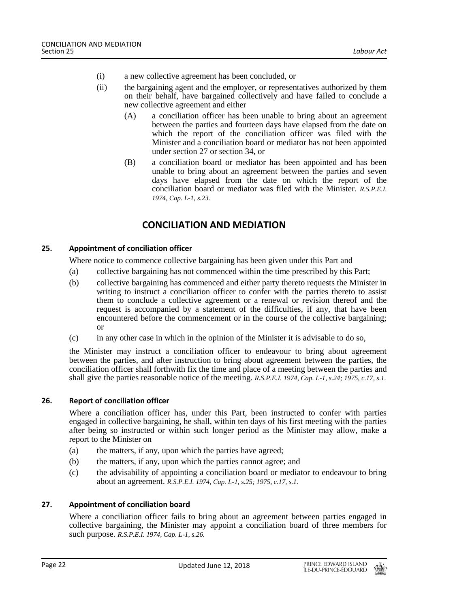- (i) a new collective agreement has been concluded, or
- (ii) the bargaining agent and the employer, or representatives authorized by them on their behalf, have bargained collectively and have failed to conclude a new collective agreement and either
	- (A) a conciliation officer has been unable to bring about an agreement between the parties and fourteen days have elapsed from the date on which the report of the conciliation officer was filed with the Minister and a conciliation board or mediator has not been appointed under section 27 or section 34, or
	- (B) a conciliation board or mediator has been appointed and has been unable to bring about an agreement between the parties and seven days have elapsed from the date on which the report of the conciliation board or mediator was filed with the Minister. *R.S.P.E.I. 1974, Cap. L-1, s.23.*

# **CONCILIATION AND MEDIATION**

# <span id="page-21-1"></span><span id="page-21-0"></span>**25. Appointment of conciliation officer**

Where notice to commence collective bargaining has been given under this Part and

- (a) collective bargaining has not commenced within the time prescribed by this Part;
- (b) collective bargaining has commenced and either party thereto requests the Minister in writing to instruct a conciliation officer to confer with the parties thereto to assist them to conclude a collective agreement or a renewal or revision thereof and the request is accompanied by a statement of the difficulties, if any, that have been encountered before the commencement or in the course of the collective bargaining; or
- (c) in any other case in which in the opinion of the Minister it is advisable to do so,

the Minister may instruct a conciliation officer to endeavour to bring about agreement between the parties, and after instruction to bring about agreement between the parties, the conciliation officer shall forthwith fix the time and place of a meeting between the parties and shall give the parties reasonable notice of the meeting. *R.S.P.E.I. 1974, Cap. L-1, s.24; 1975, c.17, s.1.*

# <span id="page-21-2"></span>**26. Report of conciliation officer**

Where a conciliation officer has, under this Part, been instructed to confer with parties engaged in collective bargaining, he shall, within ten days of his first meeting with the parties after being so instructed or within such longer period as the Minister may allow, make a report to the Minister on

- (a) the matters, if any, upon which the parties have agreed;
- (b) the matters, if any, upon which the parties cannot agree; and
- (c) the advisability of appointing a conciliation board or mediator to endeavour to bring about an agreement. *R.S.P.E.I. 1974, Cap. L-1, s.25; 1975, c.17, s.1.*

# <span id="page-21-3"></span>**27. Appointment of conciliation board**

Where a conciliation officer fails to bring about an agreement between parties engaged in collective bargaining, the Minister may appoint a conciliation board of three members for such purpose. *R.S.P.E.I. 1974, Cap. L-1, s.26.*

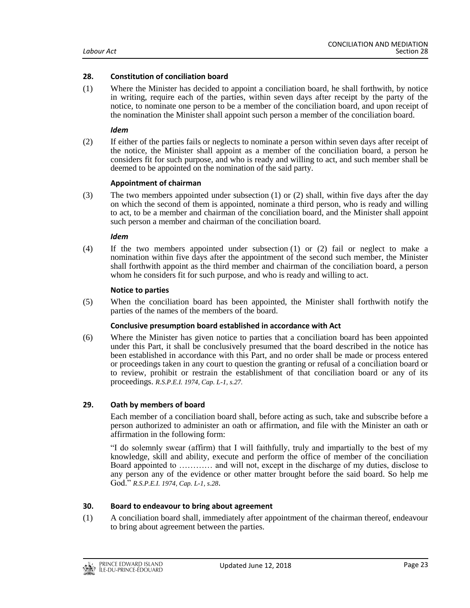#### <span id="page-22-0"></span>**28. Constitution of conciliation board**

(1) Where the Minister has decided to appoint a conciliation board, he shall forthwith, by notice in writing, require each of the parties, within seven days after receipt by the party of the notice, to nominate one person to be a member of the conciliation board, and upon receipt of the nomination the Minister shall appoint such person a member of the conciliation board.

#### *Idem*

(2) If either of the parties fails or neglects to nominate a person within seven days after receipt of the notice, the Minister shall appoint as a member of the conciliation board, a person he considers fit for such purpose, and who is ready and willing to act, and such member shall be deemed to be appointed on the nomination of the said party.

# **Appointment of chairman**

(3) The two members appointed under subsection (1) or (2) shall, within five days after the day on which the second of them is appointed, nominate a third person, who is ready and willing to act, to be a member and chairman of the conciliation board, and the Minister shall appoint such person a member and chairman of the conciliation board.

# *Idem*

(4) If the two members appointed under subsection (1) or (2) fail or neglect to make a nomination within five days after the appointment of the second such member, the Minister shall forthwith appoint as the third member and chairman of the conciliation board, a person whom he considers fit for such purpose, and who is ready and willing to act.

# **Notice to parties**

(5) When the conciliation board has been appointed, the Minister shall forthwith notify the parties of the names of the members of the board.

# **Conclusive presumption board established in accordance with Act**

(6) Where the Minister has given notice to parties that a conciliation board has been appointed under this Part, it shall be conclusively presumed that the board described in the notice has been established in accordance with this Part, and no order shall be made or process entered or proceedings taken in any court to question the granting or refusal of a conciliation board or to review, prohibit or restrain the establishment of that conciliation board or any of its proceedings. *R.S.P.E.I. 1974, Cap. L-1, s.27.*

# <span id="page-22-1"></span>**29. Oath by members of board**

Each member of a conciliation board shall, before acting as such, take and subscribe before a person authorized to administer an oath or affirmation, and file with the Minister an oath or affirmation in the following form:

"I do solemnly swear (affirm) that I will faithfully, truly and impartially to the best of my knowledge, skill and ability, execute and perform the office of member of the conciliation Board appointed to ………… and will not, except in the discharge of my duties, disclose to any person any of the evidence or other matter brought before the said board. So help me God." *R.S.P.E.I. 1974, Cap. L-1, s.28*.

# <span id="page-22-2"></span>**30. Board to endeavour to bring about agreement**

(1) A conciliation board shall, immediately after appointment of the chairman thereof, endeavour to bring about agreement between the parties.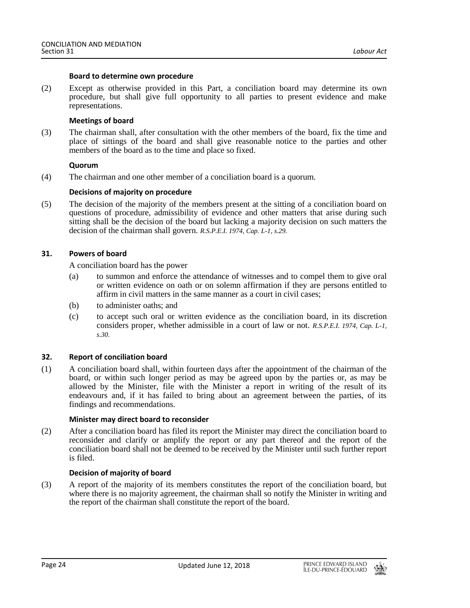#### **Board to determine own procedure**

(2) Except as otherwise provided in this Part, a conciliation board may determine its own procedure, but shall give full opportunity to all parties to present evidence and make representations.

#### **Meetings of board**

(3) The chairman shall, after consultation with the other members of the board, fix the time and place of sittings of the board and shall give reasonable notice to the parties and other members of the board as to the time and place so fixed.

#### **Quorum**

(4) The chairman and one other member of a conciliation board is a quorum.

#### **Decisions of majority on procedure**

(5) The decision of the majority of the members present at the sitting of a conciliation board on questions of procedure, admissibility of evidence and other matters that arise during such sitting shall be the decision of the board but lacking a majority decision on such matters the decision of the chairman shall govern. *R.S.P.E.I. 1974, Cap. L-1, s.29.*

#### <span id="page-23-0"></span>**31. Powers of board**

A conciliation board has the power

- (a) to summon and enforce the attendance of witnesses and to compel them to give oral or written evidence on oath or on solemn affirmation if they are persons entitled to affirm in civil matters in the same manner as a court in civil cases;
- (b) to administer oaths; and
- (c) to accept such oral or written evidence as the conciliation board, in its discretion considers proper, whether admissible in a court of law or not. *R.S.P.E.I. 1974, Cap. L-1, s.30.*

#### <span id="page-23-1"></span>**32. Report of conciliation board**

(1) A conciliation board shall, within fourteen days after the appointment of the chairman of the board, or within such longer period as may be agreed upon by the parties or, as may be allowed by the Minister, file with the Minister a report in writing of the result of its endeavours and, if it has failed to bring about an agreement between the parties, of its findings and recommendations.

#### **Minister may direct board to reconsider**

(2) After a conciliation board has filed its report the Minister may direct the conciliation board to reconsider and clarify or amplify the report or any part thereof and the report of the conciliation board shall not be deemed to be received by the Minister until such further report is filed.

#### **Decision of majority of board**

(3) A report of the majority of its members constitutes the report of the conciliation board, but where there is no majority agreement, the chairman shall so notify the Minister in writing and the report of the chairman shall constitute the report of the board.

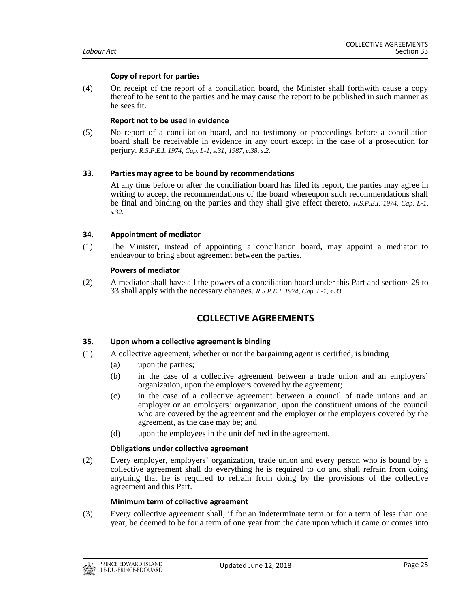# **Copy of report for parties**

(4) On receipt of the report of a conciliation board, the Minister shall forthwith cause a copy thereof to be sent to the parties and he may cause the report to be published in such manner as he sees fit.

#### **Report not to be used in evidence**

(5) No report of a conciliation board, and no testimony or proceedings before a conciliation board shall be receivable in evidence in any court except in the case of a prosecution for perjury. *R.S.P.E.I. 1974, Cap. L-1, s.31; 1987, c.38, s.2.*

# <span id="page-24-0"></span>**33. Parties may agree to be bound by recommendations**

At any time before or after the conciliation board has filed its report, the parties may agree in writing to accept the recommendations of the board whereupon such recommendations shall be final and binding on the parties and they shall give effect thereto. *R.S.P.E.I. 1974, Cap. L-1, s.32.*

# <span id="page-24-1"></span>**34. Appointment of mediator**

(1) The Minister, instead of appointing a conciliation board, may appoint a mediator to endeavour to bring about agreement between the parties.

# **Powers of mediator**

<span id="page-24-2"></span>(2) A mediator shall have all the powers of a conciliation board under this Part and sections 29 to 33 shall apply with the necessary changes. *R.S.P.E.I. 1974, Cap. L-1, s.33.*

# **COLLECTIVE AGREEMENTS**

#### <span id="page-24-3"></span>**35. Upon whom a collective agreement is binding**

- (1) A collective agreement, whether or not the bargaining agent is certified, is binding
	- (a) upon the parties;
	- (b) in the case of a collective agreement between a trade union and an employers' organization, upon the employers covered by the agreement;
	- (c) in the case of a collective agreement between a council of trade unions and an employer or an employers' organization, upon the constituent unions of the council who are covered by the agreement and the employer or the employers covered by the agreement, as the case may be; and
	- (d) upon the employees in the unit defined in the agreement.

#### **Obligations under collective agreement**

(2) Every employer, employers' organization, trade union and every person who is bound by a collective agreement shall do everything he is required to do and shall refrain from doing anything that he is required to refrain from doing by the provisions of the collective agreement and this Part.

#### **Minimum term of collective agreement**

(3) Every collective agreement shall, if for an indeterminate term or for a term of less than one year, be deemed to be for a term of one year from the date upon which it came or comes into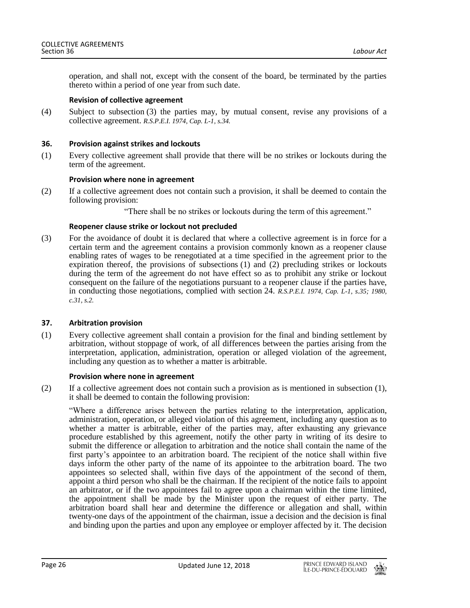operation, and shall not, except with the consent of the board, be terminated by the parties thereto within a period of one year from such date.

# **Revision of collective agreement**

(4) Subject to subsection (3) the parties may, by mutual consent, revise any provisions of a collective agreement. *R.S.P.E.I. 1974, Cap. L-1, s.34.*

# <span id="page-25-0"></span>**36. Provision against strikes and lockouts**

(1) Every collective agreement shall provide that there will be no strikes or lockouts during the term of the agreement.

# **Provision where none in agreement**

(2) If a collective agreement does not contain such a provision, it shall be deemed to contain the following provision:

"There shall be no strikes or lockouts during the term of this agreement."

# **Reopener clause strike or lockout not precluded**

(3) For the avoidance of doubt it is declared that where a collective agreement is in force for a certain term and the agreement contains a provision commonly known as a reopener clause enabling rates of wages to be renegotiated at a time specified in the agreement prior to the expiration thereof, the provisions of subsections (1) and (2) precluding strikes or lockouts during the term of the agreement do not have effect so as to prohibit any strike or lockout consequent on the failure of the negotiations pursuant to a reopener clause if the parties have, in conducting those negotiations, complied with section 24. *R.S.P.E.I. 1974, Cap. L-1, s.35; 1980, c.31, s.2.*

#### <span id="page-25-1"></span>**37. Arbitration provision**

(1) Every collective agreement shall contain a provision for the final and binding settlement by arbitration, without stoppage of work, of all differences between the parties arising from the interpretation, application, administration, operation or alleged violation of the agreement, including any question as to whether a matter is arbitrable.

#### **Provision where none in agreement**

(2) If a collective agreement does not contain such a provision as is mentioned in subsection (1), it shall be deemed to contain the following provision:

"Where a difference arises between the parties relating to the interpretation, application, administration, operation, or alleged violation of this agreement, including any question as to whether a matter is arbitrable, either of the parties may, after exhausting any grievance procedure established by this agreement, notify the other party in writing of its desire to submit the difference or allegation to arbitration and the notice shall contain the name of the first party's appointee to an arbitration board. The recipient of the notice shall within five days inform the other party of the name of its appointee to the arbitration board. The two appointees so selected shall, within five days of the appointment of the second of them, appoint a third person who shall be the chairman. If the recipient of the notice fails to appoint an arbitrator, or if the two appointees fail to agree upon a chairman within the time limited, the appointment shall be made by the Minister upon the request of either party. The arbitration board shall hear and determine the difference or allegation and shall, within twenty-one days of the appointment of the chairman, issue a decision and the decision is final and binding upon the parties and upon any employee or employer affected by it. The decision

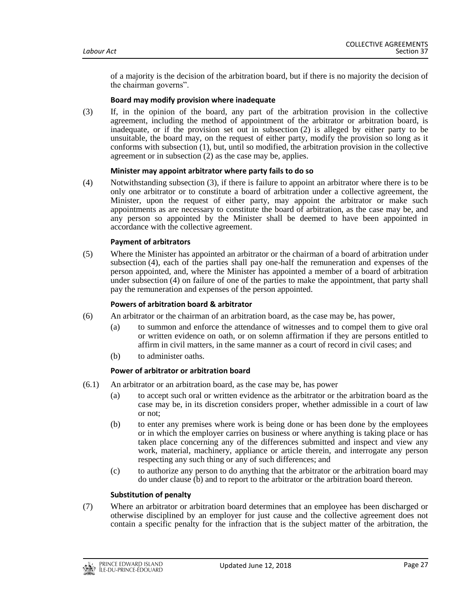of a majority is the decision of the arbitration board, but if there is no majority the decision of the chairman governs".

# **Board may modify provision where inadequate**

(3) If, in the opinion of the board, any part of the arbitration provision in the collective agreement, including the method of appointment of the arbitrator or arbitration board, is inadequate, or if the provision set out in subsection (2) is alleged by either party to be unsuitable, the board may, on the request of either party, modify the provision so long as it conforms with subsection (1), but, until so modified, the arbitration provision in the collective agreement or in subsection (2) as the case may be, applies.

# **Minister may appoint arbitrator where party fails to do so**

(4) Notwithstanding subsection (3), if there is failure to appoint an arbitrator where there is to be only one arbitrator or to constitute a board of arbitration under a collective agreement, the Minister, upon the request of either party, may appoint the arbitrator or make such appointments as are necessary to constitute the board of arbitration, as the case may be, and any person so appointed by the Minister shall be deemed to have been appointed in accordance with the collective agreement.

# **Payment of arbitrators**

(5) Where the Minister has appointed an arbitrator or the chairman of a board of arbitration under subsection (4), each of the parties shall pay one-half the remuneration and expenses of the person appointed, and, where the Minister has appointed a member of a board of arbitration under subsection (4) on failure of one of the parties to make the appointment, that party shall pay the remuneration and expenses of the person appointed.

#### **Powers of arbitration board & arbitrator**

- (6) An arbitrator or the chairman of an arbitration board, as the case may be, has power,
	- (a) to summon and enforce the attendance of witnesses and to compel them to give oral or written evidence on oath, or on solemn affirmation if they are persons entitled to affirm in civil matters, in the same manner as a court of record in civil cases; and
	- (b) to administer oaths.

# **Power of arbitrator or arbitration board**

- (6.1) An arbitrator or an arbitration board, as the case may be, has power
	- (a) to accept such oral or written evidence as the arbitrator or the arbitration board as the case may be, in its discretion considers proper, whether admissible in a court of law or not;
	- (b) to enter any premises where work is being done or has been done by the employees or in which the employer carries on business or where anything is taking place or has taken place concerning any of the differences submitted and inspect and view any work, material, machinery, appliance or article therein, and interrogate any person respecting any such thing or any of such differences; and
	- (c) to authorize any person to do anything that the arbitrator or the arbitration board may do under clause (b) and to report to the arbitrator or the arbitration board thereon.

#### **Substitution of penalty**

(7) Where an arbitrator or arbitration board determines that an employee has been discharged or otherwise disciplined by an employer for just cause and the collective agreement does not contain a specific penalty for the infraction that is the subject matter of the arbitration, the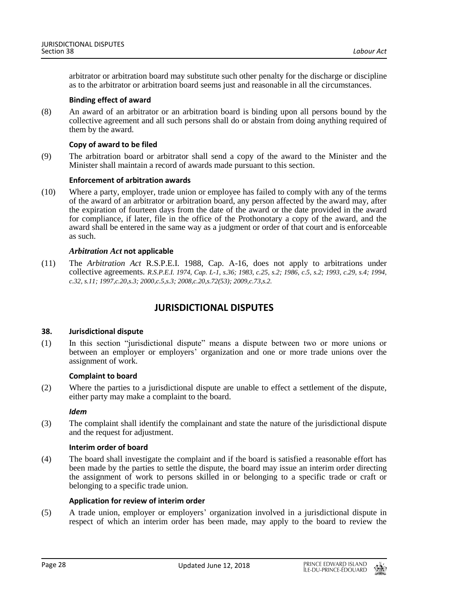arbitrator or arbitration board may substitute such other penalty for the discharge or discipline as to the arbitrator or arbitration board seems just and reasonable in all the circumstances.

# **Binding effect of award**

(8) An award of an arbitrator or an arbitration board is binding upon all persons bound by the collective agreement and all such persons shall do or abstain from doing anything required of them by the award.

# **Copy of award to be filed**

(9) The arbitration board or arbitrator shall send a copy of the award to the Minister and the Minister shall maintain a record of awards made pursuant to this section.

# **Enforcement of arbitration awards**

(10) Where a party, employer, trade union or employee has failed to comply with any of the terms of the award of an arbitrator or arbitration board, any person affected by the award may, after the expiration of fourteen days from the date of the award or the date provided in the award for compliance, if later, file in the office of the Prothonotary a copy of the award, and the award shall be entered in the same way as a judgment or order of that court and is enforceable as such.

# *Arbitration Act* **not applicable**

<span id="page-27-0"></span>(11) The *Arbitration Act* R.S.P.E.I. 1988, Cap. A-16, does not apply to arbitrations under collective agreements. *R.S.P.E.I. 1974, Cap. L-1, s.36; 1983, c.25, s.2; 1986, c.5, s.2; 1993, c.29, s.4; 1994, c.32, s.11; 1997,c.20,s.3; 2000,c.5,s.3; 2008,c.20,s.72(53); 2009,c.73,s.2.*

# **JURISDICTIONAL DISPUTES**

#### <span id="page-27-1"></span>**38. Jurisdictional dispute**

(1) In this section "jurisdictional dispute" means a dispute between two or more unions or between an employer or employers' organization and one or more trade unions over the assignment of work.

#### **Complaint to board**

(2) Where the parties to a jurisdictional dispute are unable to effect a settlement of the dispute, either party may make a complaint to the board.

#### *Idem*

(3) The complaint shall identify the complainant and state the nature of the jurisdictional dispute and the request for adjustment.

#### **Interim order of board**

(4) The board shall investigate the complaint and if the board is satisfied a reasonable effort has been made by the parties to settle the dispute, the board may issue an interim order directing the assignment of work to persons skilled in or belonging to a specific trade or craft or belonging to a specific trade union.

# **Application for review of interim order**

(5) A trade union, employer or employers' organization involved in a jurisdictional dispute in respect of which an interim order has been made, may apply to the board to review the

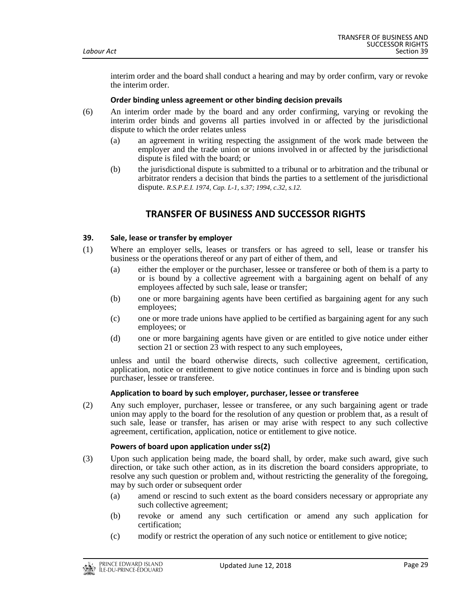interim order and the board shall conduct a hearing and may by order confirm, vary or revoke the interim order.

# **Order binding unless agreement or other binding decision prevails**

- (6) An interim order made by the board and any order confirming, varying or revoking the interim order binds and governs all parties involved in or affected by the jurisdictional dispute to which the order relates unless
	- (a) an agreement in writing respecting the assignment of the work made between the employer and the trade union or unions involved in or affected by the jurisdictional dispute is filed with the board; or
	- (b) the jurisdictional dispute is submitted to a tribunal or to arbitration and the tribunal or arbitrator renders a decision that binds the parties to a settlement of the jurisdictional dispute. *R.S.P.E.I. 1974, Cap. L-1, s.37; 1994, c.32, s.12.*

# **TRANSFER OF BUSINESS AND SUCCESSOR RIGHTS**

# <span id="page-28-1"></span><span id="page-28-0"></span>**39. Sale, lease or transfer by employer**

- (1) Where an employer sells, leases or transfers or has agreed to sell, lease or transfer his business or the operations thereof or any part of either of them, and
	- (a) either the employer or the purchaser, lessee or transferee or both of them is a party to or is bound by a collective agreement with a bargaining agent on behalf of any employees affected by such sale, lease or transfer;
	- (b) one or more bargaining agents have been certified as bargaining agent for any such employees;
	- (c) one or more trade unions have applied to be certified as bargaining agent for any such employees; or
	- (d) one or more bargaining agents have given or are entitled to give notice under either section 21 or section 23 with respect to any such employees,

unless and until the board otherwise directs, such collective agreement, certification, application, notice or entitlement to give notice continues in force and is binding upon such purchaser, lessee or transferee.

# **Application to board by such employer, purchaser, lessee or transferee**

(2) Any such employer, purchaser, lessee or transferee, or any such bargaining agent or trade union may apply to the board for the resolution of any question or problem that, as a result of such sale, lease or transfer, has arisen or may arise with respect to any such collective agreement, certification, application, notice or entitlement to give notice.

# **Powers of board upon application under ss(2)**

- (3) Upon such application being made, the board shall, by order, make such award, give such direction, or take such other action, as in its discretion the board considers appropriate, to resolve any such question or problem and, without restricting the generality of the foregoing, may by such order or subsequent order
	- (a) amend or rescind to such extent as the board considers necessary or appropriate any such collective agreement;
	- (b) revoke or amend any such certification or amend any such application for certification;
	- (c) modify or restrict the operation of any such notice or entitlement to give notice;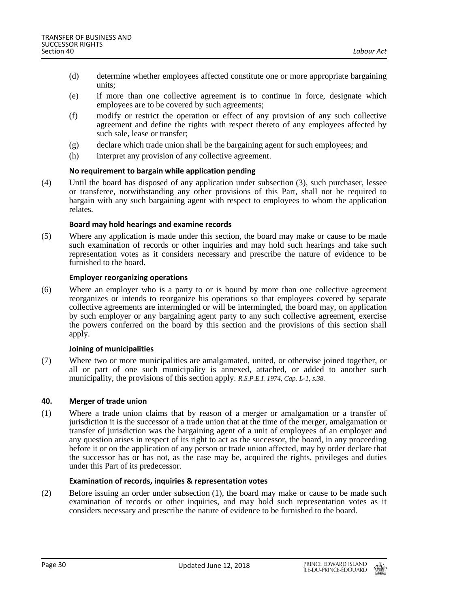- (d) determine whether employees affected constitute one or more appropriate bargaining units;
- (e) if more than one collective agreement is to continue in force, designate which employees are to be covered by such agreements;
- (f) modify or restrict the operation or effect of any provision of any such collective agreement and define the rights with respect thereto of any employees affected by such sale, lease or transfer;
- (g) declare which trade union shall be the bargaining agent for such employees; and
- (h) interpret any provision of any collective agreement.

# **No requirement to bargain while application pending**

(4) Until the board has disposed of any application under subsection (3), such purchaser, lessee or transferee, notwithstanding any other provisions of this Part, shall not be required to bargain with any such bargaining agent with respect to employees to whom the application relates.

#### **Board may hold hearings and examine records**

(5) Where any application is made under this section, the board may make or cause to be made such examination of records or other inquiries and may hold such hearings and take such representation votes as it considers necessary and prescribe the nature of evidence to be furnished to the board.

#### **Employer reorganizing operations**

(6) Where an employer who is a party to or is bound by more than one collective agreement reorganizes or intends to reorganize his operations so that employees covered by separate collective agreements are intermingled or will be intermingled, the board may, on application by such employer or any bargaining agent party to any such collective agreement, exercise the powers conferred on the board by this section and the provisions of this section shall apply.

#### **Joining of municipalities**

(7) Where two or more municipalities are amalgamated, united, or otherwise joined together, or all or part of one such municipality is annexed, attached, or added to another such municipality, the provisions of this section apply. *R.S.P.E.I. 1974, Cap. L-1, s.38.*

#### <span id="page-29-0"></span>**40. Merger of trade union**

(1) Where a trade union claims that by reason of a merger or amalgamation or a transfer of jurisdiction it is the successor of a trade union that at the time of the merger, amalgamation or transfer of jurisdiction was the bargaining agent of a unit of employees of an employer and any question arises in respect of its right to act as the successor, the board, in any proceeding before it or on the application of any person or trade union affected, may by order declare that the successor has or has not, as the case may be, acquired the rights, privileges and duties under this Part of its predecessor.

#### **Examination of records, inquiries & representation votes**

(2) Before issuing an order under subsection (1), the board may make or cause to be made such examination of records or other inquiries, and may hold such representation votes as it considers necessary and prescribe the nature of evidence to be furnished to the board.

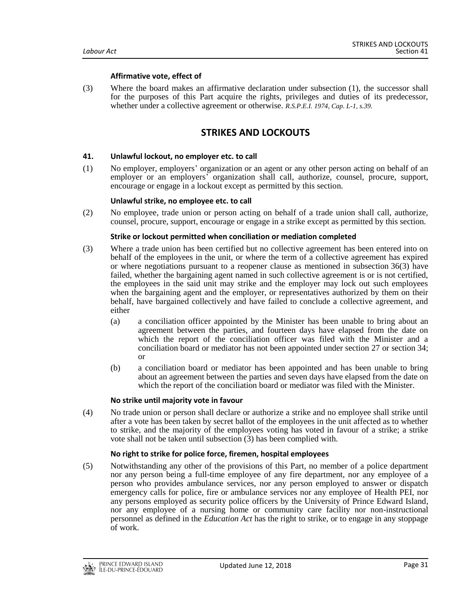# **Affirmative vote, effect of**

<span id="page-30-0"></span>(3) Where the board makes an affirmative declaration under subsection (1), the successor shall for the purposes of this Part acquire the rights, privileges and duties of its predecessor, whether under a collective agreement or otherwise. *R.S.P.E.I. 1974, Cap. L-1, s.39.*

# **STRIKES AND LOCKOUTS**

#### <span id="page-30-1"></span>**41. Unlawful lockout, no employer etc. to call**

(1) No employer, employers' organization or an agent or any other person acting on behalf of an employer or an employers' organization shall call, authorize, counsel, procure, support, encourage or engage in a lockout except as permitted by this section.

#### **Unlawful strike, no employee etc. to call**

(2) No employee, trade union or person acting on behalf of a trade union shall call, authorize, counsel, procure, support, encourage or engage in a strike except as permitted by this section.

#### **Strike or lockout permitted when conciliation or mediation completed**

- (3) Where a trade union has been certified but no collective agreement has been entered into on behalf of the employees in the unit, or where the term of a collective agreement has expired or where negotiations pursuant to a reopener clause as mentioned in subsection 36(3) have failed, whether the bargaining agent named in such collective agreement is or is not certified, the employees in the said unit may strike and the employer may lock out such employees when the bargaining agent and the employer, or representatives authorized by them on their behalf, have bargained collectively and have failed to conclude a collective agreement, and either
	- (a) a conciliation officer appointed by the Minister has been unable to bring about an agreement between the parties, and fourteen days have elapsed from the date on which the report of the conciliation officer was filed with the Minister and a conciliation board or mediator has not been appointed under section 27 or section 34; or
	- (b) a conciliation board or mediator has been appointed and has been unable to bring about an agreement between the parties and seven days have elapsed from the date on which the report of the conciliation board or mediator was filed with the Minister.

#### **No strike until majority vote in favour**

(4) No trade union or person shall declare or authorize a strike and no employee shall strike until after a vote has been taken by secret ballot of the employees in the unit affected as to whether to strike, and the majority of the employees voting has voted in favour of a strike; a strike vote shall not be taken until subsection (3) has been complied with.

#### **No right to strike for police force, firemen, hospital employees**

(5) Notwithstanding any other of the provisions of this Part, no member of a police department nor any person being a full-time employee of any fire department, nor any employee of a person who provides ambulance services, nor any person employed to answer or dispatch emergency calls for police, fire or ambulance services nor any employee of Health PEI, nor any persons employed as security police officers by the University of Prince Edward Island, nor any employee of a nursing home or community care facility nor non-instructional personnel as defined in the *Education Act* has the right to strike, or to engage in any stoppage of work.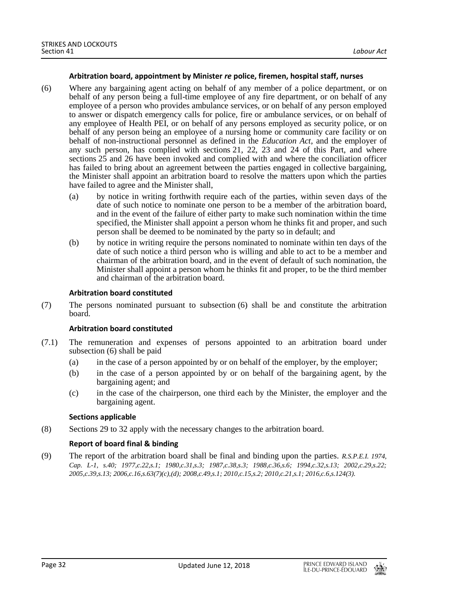#### **Arbitration board, appointment by Minister** *re* **police, firemen, hospital staff, nurses**

- (6) Where any bargaining agent acting on behalf of any member of a police department, or on behalf of any person being a full-time employee of any fire department, or on behalf of any employee of a person who provides ambulance services, or on behalf of any person employed to answer or dispatch emergency calls for police, fire or ambulance services, or on behalf of any employee of Health PEI, or on behalf of any persons employed as security police, or on behalf of any person being an employee of a nursing home or community care facility or on behalf of non-instructional personnel as defined in the *Education Act*, and the employer of any such person, has complied with sections 21, 22, 23 and 24 of this Part, and where sections 25 and 26 have been invoked and complied with and where the conciliation officer has failed to bring about an agreement between the parties engaged in collective bargaining, the Minister shall appoint an arbitration board to resolve the matters upon which the parties have failed to agree and the Minister shall,
	- (a) by notice in writing forthwith require each of the parties, within seven days of the date of such notice to nominate one person to be a member of the arbitration board, and in the event of the failure of either party to make such nomination within the time specified, the Minister shall appoint a person whom he thinks fit and proper, and such person shall be deemed to be nominated by the party so in default; and
	- (b) by notice in writing require the persons nominated to nominate within ten days of the date of such notice a third person who is willing and able to act to be a member and chairman of the arbitration board, and in the event of default of such nomination, the Minister shall appoint a person whom he thinks fit and proper, to be the third member and chairman of the arbitration board.

# **Arbitration board constituted**

(7) The persons nominated pursuant to subsection (6) shall be and constitute the arbitration board.

#### **Arbitration board constituted**

- (7.1) The remuneration and expenses of persons appointed to an arbitration board under subsection (6) shall be paid
	- (a) in the case of a person appointed by or on behalf of the employer, by the employer;
	- (b) in the case of a person appointed by or on behalf of the bargaining agent, by the bargaining agent; and
	- (c) in the case of the chairperson, one third each by the Minister, the employer and the bargaining agent.

#### **Sections applicable**

(8) Sections 29 to 32 apply with the necessary changes to the arbitration board.

# **Report of board final & binding**

(9) The report of the arbitration board shall be final and binding upon the parties. *R.S.P.E.I. 1974, Cap. L-1, s.40; 1977,c.22,s.1; 1980,c.31,s.3; 1987,c.38,s.3; 1988,c.36,s.6; 1994,c.32,s.13; 2002,c.29,s.22; 2005,c.39,s.13; 2006,c.16,s.63(7)(c),(d); 2008,c.49,s.1; 2010,c.15,s.2; 2010,c.21,s.1; 2016,c.6,s.124(3).*

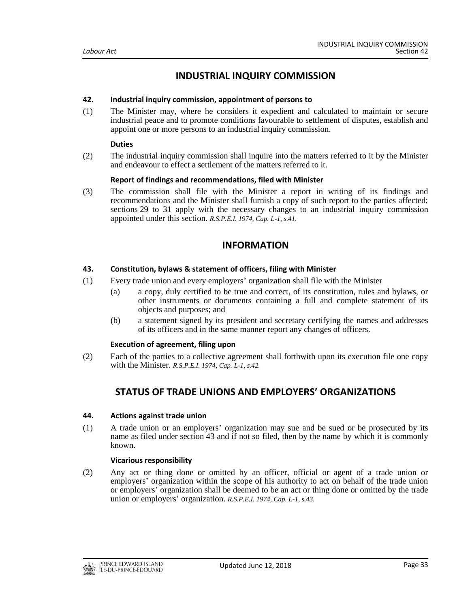# **INDUSTRIAL INQUIRY COMMISSION**

# <span id="page-32-1"></span><span id="page-32-0"></span>**42. Industrial inquiry commission, appointment of persons to**

(1) The Minister may, where he considers it expedient and calculated to maintain or secure industrial peace and to promote conditions favourable to settlement of disputes, establish and appoint one or more persons to an industrial inquiry commission.

# **Duties**

(2) The industrial inquiry commission shall inquire into the matters referred to it by the Minister and endeavour to effect a settlement of the matters referred to it.

# **Report of findings and recommendations, filed with Minister**

<span id="page-32-2"></span>(3) The commission shall file with the Minister a report in writing of its findings and recommendations and the Minister shall furnish a copy of such report to the parties affected; sections 29 to 31 apply with the necessary changes to an industrial inquiry commission appointed under this section. *R.S.P.E.I. 1974, Cap. L-1, s.41.*

# **INFORMATION**

# <span id="page-32-3"></span>**43. Constitution, bylaws & statement of officers, filing with Minister**

- (1) Every trade union and every employers' organization shall file with the Minister
	- (a) a copy, duly certified to be true and correct, of its constitution, rules and bylaws, or other instruments or documents containing a full and complete statement of its objects and purposes; and
	- (b) a statement signed by its president and secretary certifying the names and addresses of its officers and in the same manner report any changes of officers.

# **Execution of agreement, filing upon**

<span id="page-32-4"></span>(2) Each of the parties to a collective agreement shall forthwith upon its execution file one copy with the Minister. *R.S.P.E.I. 1974, Cap. L-1, s.42.*

# **STATUS OF TRADE UNIONS AND EMPLOYERS' ORGANIZATIONS**

# <span id="page-32-5"></span>**44. Actions against trade union**

(1) A trade union or an employers' organization may sue and be sued or be prosecuted by its name as filed under section 43 and if not so filed, then by the name by which it is commonly known.

# **Vicarious responsibility**

(2) Any act or thing done or omitted by an officer, official or agent of a trade union or employers' organization within the scope of his authority to act on behalf of the trade union or employers' organization shall be deemed to be an act or thing done or omitted by the trade union or employers' organization. *R.S.P.E.I. 1974, Cap. L-1, s.43.*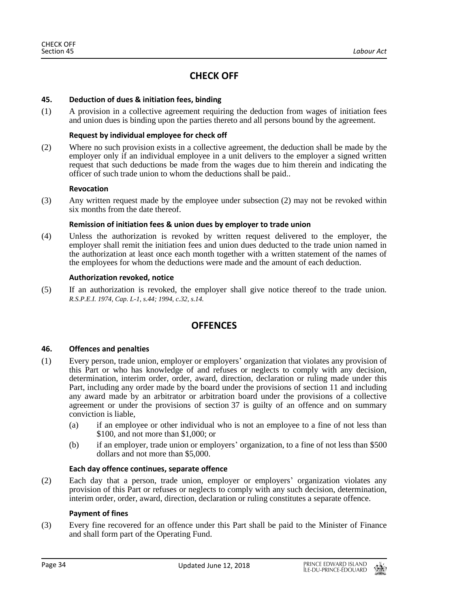# **CHECK OFF**

# <span id="page-33-1"></span><span id="page-33-0"></span>**45. Deduction of dues & initiation fees, binding**

(1) A provision in a collective agreement requiring the deduction from wages of initiation fees and union dues is binding upon the parties thereto and all persons bound by the agreement.

#### **Request by individual employee for check off**

(2) Where no such provision exists in a collective agreement, the deduction shall be made by the employer only if an individual employee in a unit delivers to the employer a signed written request that such deductions be made from the wages due to him therein and indicating the officer of such trade union to whom the deductions shall be paid..

#### **Revocation**

(3) Any written request made by the employee under subsection (2) may not be revoked within six months from the date thereof.

# **Remission of initiation fees & union dues by employer to trade union**

(4) Unless the authorization is revoked by written request delivered to the employer, the employer shall remit the initiation fees and union dues deducted to the trade union named in the authorization at least once each month together with a written statement of the names of the employees for whom the deductions were made and the amount of each deduction.

#### **Authorization revoked, notice**

<span id="page-33-2"></span>(5) If an authorization is revoked, the employer shall give notice thereof to the trade union. *R.S.P.E.I. 1974, Cap. L-1, s.44; 1994, c.32, s.14.*

# **OFFENCES**

#### <span id="page-33-3"></span>**46. Offences and penalties**

- (1) Every person, trade union, employer or employers' organization that violates any provision of this Part or who has knowledge of and refuses or neglects to comply with any decision, determination, interim order, order, award, direction, declaration or ruling made under this Part, including any order made by the board under the provisions of section 11 and including any award made by an arbitrator or arbitration board under the provisions of a collective agreement or under the provisions of section 37 is guilty of an offence and on summary conviction is liable,
	- (a) if an employee or other individual who is not an employee to a fine of not less than \$100, and not more than \$1,000; or
	- (b) if an employer, trade union or employers' organization, to a fine of not less than \$500 dollars and not more than \$5,000.

# **Each day offence continues, separate offence**

(2) Each day that a person, trade union, employer or employers' organization violates any provision of this Part or refuses or neglects to comply with any such decision, determination, interim order, order, award, direction, declaration or ruling constitutes a separate offence.

# **Payment of fines**

(3) Every fine recovered for an offence under this Part shall be paid to the Minister of Finance and shall form part of the Operating Fund.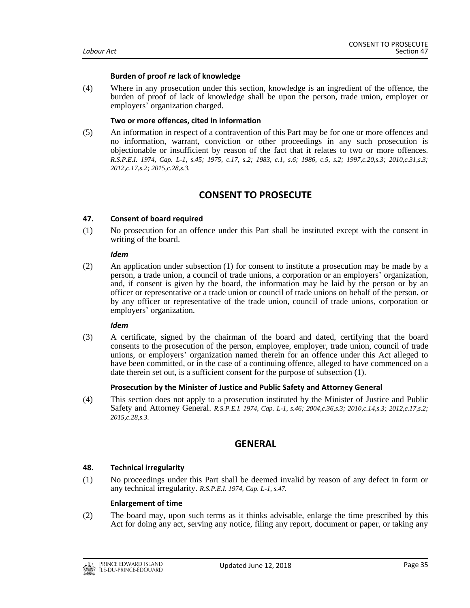# **Burden of proof** *re* **lack of knowledge**

(4) Where in any prosecution under this section, knowledge is an ingredient of the offence, the burden of proof of lack of knowledge shall be upon the person, trade union, employer or employers' organization charged.

# **Two or more offences, cited in information**

(5) An information in respect of a contravention of this Part may be for one or more offences and no information, warrant, conviction or other proceedings in any such prosecution is objectionable or insufficient by reason of the fact that it relates to two or more offences. *R.S.P.E.I. 1974, Cap. L-1, s.45; 1975, c.17, s.2; 1983, c.1, s.6; 1986, c.5, s.2; 1997,c.20,s.3; 2010,c.31,s.3; 2012,c.17,s.2; 2015,c.28,s.3.*

# **CONSENT TO PROSECUTE**

# <span id="page-34-1"></span><span id="page-34-0"></span>**47. Consent of board required**

(1) No prosecution for an offence under this Part shall be instituted except with the consent in writing of the board.

#### *Idem*

(2) An application under subsection (1) for consent to institute a prosecution may be made by a person, a trade union, a council of trade unions, a corporation or an employers' organization, and, if consent is given by the board, the information may be laid by the person or by an officer or representative or a trade union or council of trade unions on behalf of the person, or by any officer or representative of the trade union, council of trade unions, corporation or employers' organization.

#### *Idem*

(3) A certificate, signed by the chairman of the board and dated, certifying that the board consents to the prosecution of the person, employee, employer, trade union, council of trade unions, or employers' organization named therein for an offence under this Act alleged to have been committed, or in the case of a continuing offence, alleged to have commenced on a date therein set out, is a sufficient consent for the purpose of subsection (1).

# **Prosecution by the Minister of Justice and Public Safety and Attorney General**

<span id="page-34-2"></span>(4) This section does not apply to a prosecution instituted by the Minister of Justice and Public Safety and Attorney General. *R.S.P.E.I. 1974, Cap. L-1, s.46; 2004,c.36,s.3; 2010,c.14,s.3; 2012,c.17,s.2; 2015,c.28,s.3.*

# **GENERAL**

#### <span id="page-34-3"></span>**48. Technical irregularity**

(1) No proceedings under this Part shall be deemed invalid by reason of any defect in form or any technical irregularity. *R.S.P.E.I. 1974, Cap. L-1, s.47.*

# **Enlargement of time**

(2) The board may, upon such terms as it thinks advisable, enlarge the time prescribed by this Act for doing any act, serving any notice, filing any report, document or paper, or taking any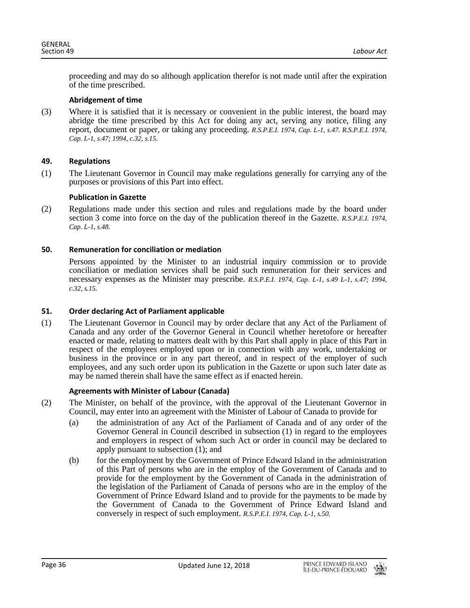proceeding and may do so although application therefor is not made until after the expiration of the time prescribed.

# **Abridgement of time**

(3) Where it is satisfied that it is necessary or convenient in the public interest, the board may abridge the time prescribed by this Act for doing any act, serving any notice, filing any report, document or paper, or taking any proceeding. *R.S.P.E.I. 1974, Cap. L-1, s.47. R.S.P.E.I. 1974, Cap. L-1, s.47; 1994, c.32, s.15.*

# <span id="page-35-0"></span>**49. Regulations**

(1) The Lieutenant Governor in Council may make regulations generally for carrying any of the purposes or provisions of this Part into effect.

# **Publication in Gazette**

(2) Regulations made under this section and rules and regulations made by the board under section 3 come into force on the day of the publication thereof in the Gazette. *R.S.P.E.I. 1974, Cap. L-1, s.48.*

# <span id="page-35-1"></span>**50. Remuneration for conciliation or mediation**

Persons appointed by the Minister to an industrial inquiry commission or to provide conciliation or mediation services shall be paid such remuneration for their services and necessary expenses as the Minister may prescribe. *R.S.P.E.I. 1974, Cap. L-1, s.49 L-1, s.47; 1994, c.32, s.15.*

# <span id="page-35-2"></span>**51. Order declaring Act of Parliament applicable**

(1) The Lieutenant Governor in Council may by order declare that any Act of the Parliament of Canada and any order of the Governor General in Council whether heretofore or hereafter enacted or made, relating to matters dealt with by this Part shall apply in place of this Part in respect of the employees employed upon or in connection with any work, undertaking or business in the province or in any part thereof, and in respect of the employer of such employees, and any such order upon its publication in the Gazette or upon such later date as may be named therein shall have the same effect as if enacted herein.

# **Agreements with Minister of Labour (Canada)**

- (2) The Minister, on behalf of the province, with the approval of the Lieutenant Governor in Council, may enter into an agreement with the Minister of Labour of Canada to provide for
	- (a) the administration of any Act of the Parliament of Canada and of any order of the Governor General in Council described in subsection (1) in regard to the employees and employers in respect of whom such Act or order in council may be declared to apply pursuant to subsection (1); and
	- (b) for the employment by the Government of Prince Edward Island in the administration of this Part of persons who are in the employ of the Government of Canada and to provide for the employment by the Government of Canada in the administration of the legislation of the Parliament of Canada of persons who are in the employ of the Government of Prince Edward Island and to provide for the payments to be made by the Government of Canada to the Government of Prince Edward Island and conversely in respect of such employment. *R.S.P.E.I. 1974, Cap. L-1, s.50.*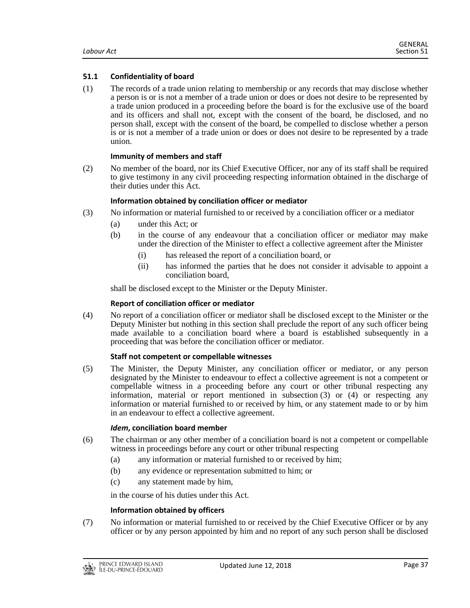# <span id="page-36-0"></span>**51.1 Confidentiality of board**

(1) The records of a trade union relating to membership or any records that may disclose whether a person is or is not a member of a trade union or does or does not desire to be represented by a trade union produced in a proceeding before the board is for the exclusive use of the board and its officers and shall not, except with the consent of the board, be disclosed, and no person shall, except with the consent of the board, be compelled to disclose whether a person is or is not a member of a trade union or does or does not desire to be represented by a trade union.

# **Immunity of members and staff**

(2) No member of the board, nor its Chief Executive Officer, nor any of its staff shall be required to give testimony in any civil proceeding respecting information obtained in the discharge of their duties under this Act.

# **Information obtained by conciliation officer or mediator**

- (3) No information or material furnished to or received by a conciliation officer or a mediator
	- (a) under this Act; or
	- (b) in the course of any endeavour that a conciliation officer or mediator may make under the direction of the Minister to effect a collective agreement after the Minister
		- (i) has released the report of a conciliation board, or
		- (ii) has informed the parties that he does not consider it advisable to appoint a conciliation board,

shall be disclosed except to the Minister or the Deputy Minister.

#### **Report of conciliation officer or mediator**

(4) No report of a conciliation officer or mediator shall be disclosed except to the Minister or the Deputy Minister but nothing in this section shall preclude the report of any such officer being made available to a conciliation board where a board is established subsequently in a proceeding that was before the conciliation officer or mediator.

#### **Staff not competent or compellable witnesses**

(5) The Minister, the Deputy Minister, any conciliation officer or mediator, or any person designated by the Minister to endeavour to effect a collective agreement is not a competent or compellable witness in a proceeding before any court or other tribunal respecting any information, material or report mentioned in subsection (3) or (4) or respecting any information or material furnished to or received by him, or any statement made to or by him in an endeavour to effect a collective agreement.

#### *Idem***, conciliation board member**

- (6) The chairman or any other member of a conciliation board is not a competent or compellable witness in proceedings before any court or other tribunal respecting
	- (a) any information or material furnished to or received by him;
	- (b) any evidence or representation submitted to him; or
	- (c) any statement made by him,

in the course of his duties under this Act.

# **Information obtained by officers**

(7) No information or material furnished to or received by the Chief Executive Officer or by any officer or by any person appointed by him and no report of any such person shall be disclosed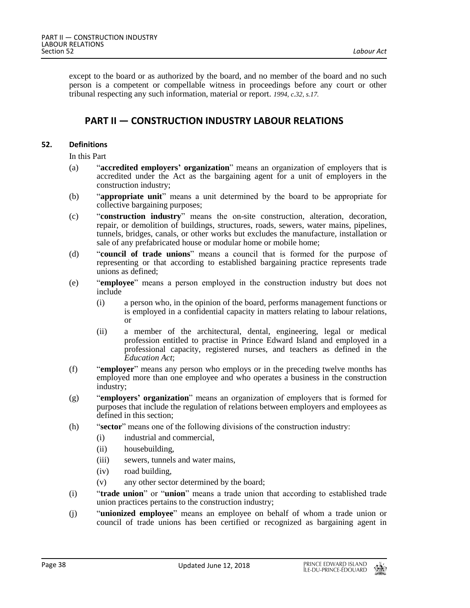<span id="page-37-0"></span>except to the board or as authorized by the board, and no member of the board and no such person is a competent or compellable witness in proceedings before any court or other tribunal respecting any such information, material or report. *1994, c.32, s.17.*

# **PART II — CONSTRUCTION INDUSTRY LABOUR RELATIONS**

# <span id="page-37-1"></span>**52. Definitions**

In this Part

- (a) "**accredited employers' organization**" means an organization of employers that is accredited under the Act as the bargaining agent for a unit of employers in the construction industry;
- (b) "**appropriate unit**" means a unit determined by the board to be appropriate for collective bargaining purposes;
- (c) "**construction industry**" means the on-site construction, alteration, decoration, repair, or demolition of buildings, structures, roads, sewers, water mains, pipelines, tunnels, bridges, canals, or other works but excludes the manufacture, installation or sale of any prefabricated house or modular home or mobile home;
- (d) "**council of trade unions**" means a council that is formed for the purpose of representing or that according to established bargaining practice represents trade unions as defined;
- (e) "**employee**" means a person employed in the construction industry but does not include
	- (i) a person who, in the opinion of the board, performs management functions or is employed in a confidential capacity in matters relating to labour relations, or
	- (ii) a member of the architectural, dental, engineering, legal or medical profession entitled to practise in Prince Edward Island and employed in a professional capacity, registered nurses, and teachers as defined in the *Education Act*;
- (f) "**employer**" means any person who employs or in the preceding twelve months has employed more than one employee and who operates a business in the construction industry;
- (g) "**employers' organization**" means an organization of employers that is formed for purposes that include the regulation of relations between employers and employees as defined in this section;
- (h) "**sector**" means one of the following divisions of the construction industry:
	- (i) industrial and commercial,
	- (ii) housebuilding,
	- (iii) sewers, tunnels and water mains,
	- (iv) road building,
	- (v) any other sector determined by the board;
- (i) "**trade union**" or "**union**" means a trade union that according to established trade union practices pertains to the construction industry;
- (j) "**unionized employee**" means an employee on behalf of whom a trade union or council of trade unions has been certified or recognized as bargaining agent in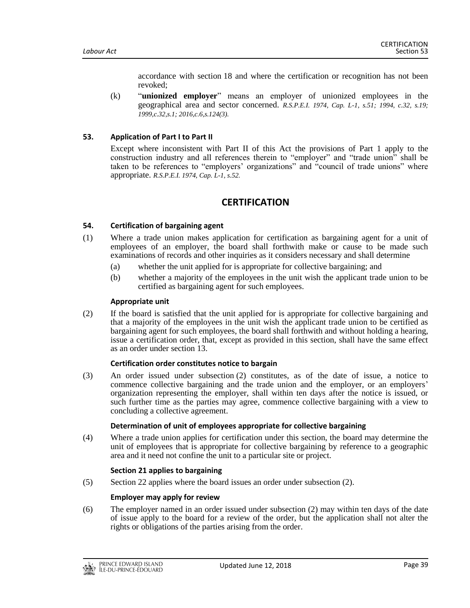accordance with section 18 and where the certification or recognition has not been revoked;

(k) "**unionized employer**" means an employer of unionized employees in the geographical area and sector concerned. *R.S.P.E.I. 1974, Cap. L-1, s.51; 1994, c.32, s.19; 1999,c.32,s.1; 2016,c.6,s.124(3).*

# <span id="page-38-0"></span>**53. Application of Part I to Part II**

Except where inconsistent with Part II of this Act the provisions of Part 1 apply to the construction industry and all references therein to "employer" and "trade union" shall be taken to be references to "employers' organizations" and "council of trade unions" where appropriate. *R.S.P.E.I. 1974, Cap. L-1, s.52.*

# **CERTIFICATION**

# <span id="page-38-2"></span><span id="page-38-1"></span>**54. Certification of bargaining agent**

- (1) Where a trade union makes application for certification as bargaining agent for a unit of employees of an employer, the board shall forthwith make or cause to be made such examinations of records and other inquiries as it considers necessary and shall determine
	- (a) whether the unit applied for is appropriate for collective bargaining; and
	- (b) whether a majority of the employees in the unit wish the applicant trade union to be certified as bargaining agent for such employees.

#### **Appropriate unit**

(2) If the board is satisfied that the unit applied for is appropriate for collective bargaining and that a majority of the employees in the unit wish the applicant trade union to be certified as bargaining agent for such employees, the board shall forthwith and without holding a hearing, issue a certification order, that, except as provided in this section, shall have the same effect as an order under section 13.

#### **Certification order constitutes notice to bargain**

(3) An order issued under subsection (2) constitutes, as of the date of issue, a notice to commence collective bargaining and the trade union and the employer, or an employers' organization representing the employer, shall within ten days after the notice is issued, or such further time as the parties may agree, commence collective bargaining with a view to concluding a collective agreement.

#### **Determination of unit of employees appropriate for collective bargaining**

(4) Where a trade union applies for certification under this section, the board may determine the unit of employees that is appropriate for collective bargaining by reference to a geographic area and it need not confine the unit to a particular site or project.

#### **Section 21 applies to bargaining**

(5) Section 22 applies where the board issues an order under subsection (2).

#### **Employer may apply for review**

(6) The employer named in an order issued under subsection (2) may within ten days of the date of issue apply to the board for a review of the order, but the application shall not alter the rights or obligations of the parties arising from the order.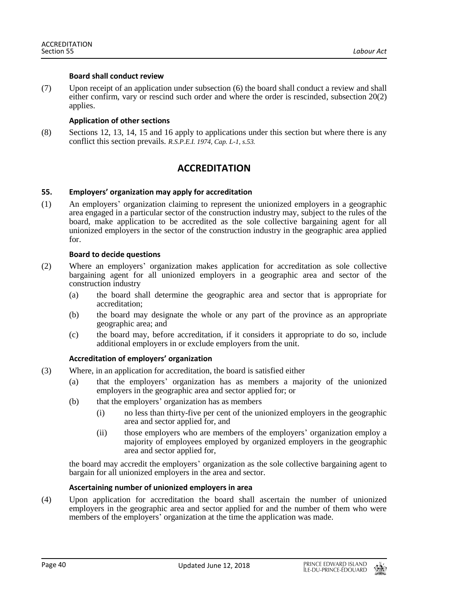#### **Board shall conduct review**

(7) Upon receipt of an application under subsection (6) the board shall conduct a review and shall either confirm, vary or rescind such order and where the order is rescinded, subsection 20(2) applies.

# **Application of other sections**

<span id="page-39-0"></span>(8) Sections 12, 13, 14, 15 and 16 apply to applications under this section but where there is any conflict this section prevails. *R.S.P.E.I. 1974, Cap. L-1, s.53.*

# **ACCREDITATION**

# <span id="page-39-1"></span>**55. Employers' organization may apply for accreditation**

(1) An employers' organization claiming to represent the unionized employers in a geographic area engaged in a particular sector of the construction industry may, subject to the rules of the board, make application to be accredited as the sole collective bargaining agent for all unionized employers in the sector of the construction industry in the geographic area applied for.

#### **Board to decide questions**

- (2) Where an employers' organization makes application for accreditation as sole collective bargaining agent for all unionized employers in a geographic area and sector of the construction industry
	- (a) the board shall determine the geographic area and sector that is appropriate for accreditation;
	- (b) the board may designate the whole or any part of the province as an appropriate geographic area; and
	- (c) the board may, before accreditation, if it considers it appropriate to do so, include additional employers in or exclude employers from the unit.

#### **Accreditation of employers' organization**

- (3) Where, in an application for accreditation, the board is satisfied either
	- (a) that the employers' organization has as members a majority of the unionized employers in the geographic area and sector applied for; or
	- (b) that the employers' organization has as members
		- (i) no less than thirty-five per cent of the unionized employers in the geographic area and sector applied for, and
		- (ii) those employers who are members of the employers' organization employ a majority of employees employed by organized employers in the geographic area and sector applied for,

the board may accredit the employers' organization as the sole collective bargaining agent to bargain for all unionized employers in the area and sector.

# **Ascertaining number of unionized employers in area**

(4) Upon application for accreditation the board shall ascertain the number of unionized employers in the geographic area and sector applied for and the number of them who were members of the employers' organization at the time the application was made.

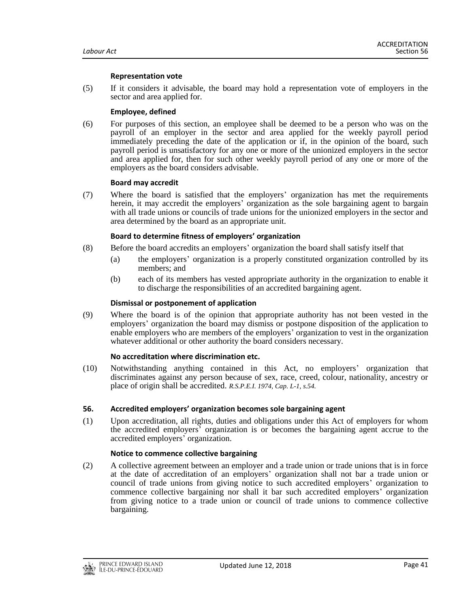#### **Representation vote**

(5) If it considers it advisable, the board may hold a representation vote of employers in the sector and area applied for.

#### **Employee, defined**

(6) For purposes of this section, an employee shall be deemed to be a person who was on the payroll of an employer in the sector and area applied for the weekly payroll period immediately preceding the date of the application or if, in the opinion of the board, such payroll period is unsatisfactory for any one or more of the unionized employers in the sector and area applied for, then for such other weekly payroll period of any one or more of the employers as the board considers advisable.

#### **Board may accredit**

(7) Where the board is satisfied that the employers' organization has met the requirements herein, it may accredit the employers' organization as the sole bargaining agent to bargain with all trade unions or councils of trade unions for the unionized employers in the sector and area determined by the board as an appropriate unit.

#### **Board to determine fitness of employers' organization**

- (8) Before the board accredits an employers' organization the board shall satisfy itself that
	- (a) the employers' organization is a properly constituted organization controlled by its members; and
	- (b) each of its members has vested appropriate authority in the organization to enable it to discharge the responsibilities of an accredited bargaining agent.

#### **Dismissal or postponement of application**

(9) Where the board is of the opinion that appropriate authority has not been vested in the employers' organization the board may dismiss or postpone disposition of the application to enable employers who are members of the employers' organization to vest in the organization whatever additional or other authority the board considers necessary.

#### **No accreditation where discrimination etc.**

(10) Notwithstanding anything contained in this Act, no employers' organization that discriminates against any person because of sex, race, creed, colour, nationality, ancestry or place of origin shall be accredited. *R.S.P.E.I. 1974, Cap. L-1, s.54.*

#### <span id="page-40-0"></span>**56. Accredited employers' organization becomes sole bargaining agent**

(1) Upon accreditation, all rights, duties and obligations under this Act of employers for whom the accredited employers' organization is or becomes the bargaining agent accrue to the accredited employers' organization.

#### **Notice to commence collective bargaining**

(2) A collective agreement between an employer and a trade union or trade unions that is in force at the date of accreditation of an employers' organization shall not bar a trade union or council of trade unions from giving notice to such accredited employers' organization to commence collective bargaining nor shall it bar such accredited employers' organization from giving notice to a trade union or council of trade unions to commence collective bargaining.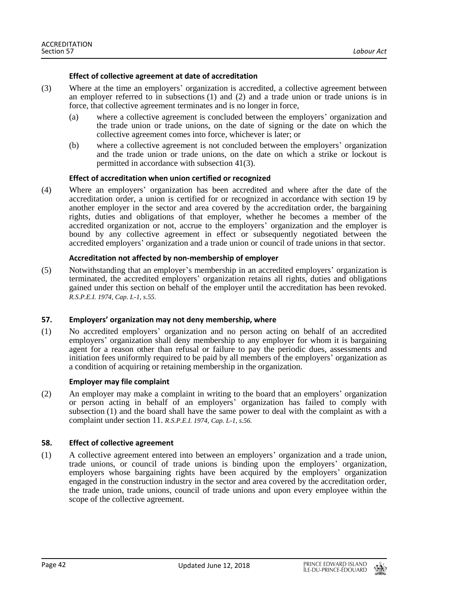# **Effect of collective agreement at date of accreditation**

- (3) Where at the time an employers' organization is accredited, a collective agreement between an employer referred to in subsections (1) and (2) and a trade union or trade unions is in force, that collective agreement terminates and is no longer in force,
	- (a) where a collective agreement is concluded between the employers' organization and the trade union or trade unions, on the date of signing or the date on which the collective agreement comes into force, whichever is later; or
	- (b) where a collective agreement is not concluded between the employers' organization and the trade union or trade unions, on the date on which a strike or lockout is permitted in accordance with subsection 41(3).

# **Effect of accreditation when union certified or recognized**

(4) Where an employers' organization has been accredited and where after the date of the accreditation order, a union is certified for or recognized in accordance with section 19 by another employer in the sector and area covered by the accreditation order, the bargaining rights, duties and obligations of that employer, whether he becomes a member of the accredited organization or not, accrue to the employers' organization and the employer is bound by any collective agreement in effect or subsequently negotiated between the accredited employers' organization and a trade union or council of trade unions in that sector.

# **Accreditation not affected by non-membership of employer**

(5) Notwithstanding that an employer's membership in an accredited employers' organization is terminated, the accredited employers' organization retains all rights, duties and obligations gained under this section on behalf of the employer until the accreditation has been revoked. *R.S.P.E.I. 1974, Cap. L-1, s.55.*

#### <span id="page-41-0"></span>**57. Employers' organization may not deny membership, where**

(1) No accredited employers' organization and no person acting on behalf of an accredited employers' organization shall deny membership to any employer for whom it is bargaining agent for a reason other than refusal or failure to pay the periodic dues, assessments and initiation fees uniformly required to be paid by all members of the employers' organization as a condition of acquiring or retaining membership in the organization.

#### **Employer may file complaint**

(2) An employer may make a complaint in writing to the board that an employers' organization or person acting in behalf of an employers' organization has failed to comply with subsection (1) and the board shall have the same power to deal with the complaint as with a complaint under section 11. *R.S.P.E.I. 1974, Cap. L-1, s.56.*

#### <span id="page-41-1"></span>**58. Effect of collective agreement**

(1) A collective agreement entered into between an employers' organization and a trade union, trade unions, or council of trade unions is binding upon the employers' organization, employers whose bargaining rights have been acquired by the employers' organization engaged in the construction industry in the sector and area covered by the accreditation order, the trade union, trade unions, council of trade unions and upon every employee within the scope of the collective agreement.

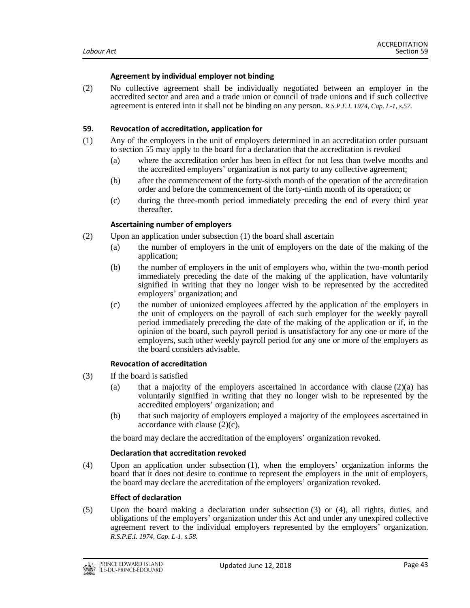# **Agreement by individual employer not binding**

(2) No collective agreement shall be individually negotiated between an employer in the accredited sector and area and a trade union or council of trade unions and if such collective agreement is entered into it shall not be binding on any person. *R.S.P.E.I. 1974, Cap. L-1, s.57.*

# <span id="page-42-0"></span>**59. Revocation of accreditation, application for**

- (1) Any of the employers in the unit of employers determined in an accreditation order pursuant to section 55 may apply to the board for a declaration that the accreditation is revoked
	- (a) where the accreditation order has been in effect for not less than twelve months and the accredited employers' organization is not party to any collective agreement;
	- (b) after the commencement of the forty-sixth month of the operation of the accreditation order and before the commencement of the forty-ninth month of its operation; or
	- (c) during the three-month period immediately preceding the end of every third year thereafter.

# **Ascertaining number of employers**

- (2) Upon an application under subsection (1) the board shall ascertain
	- (a) the number of employers in the unit of employers on the date of the making of the application;
	- (b) the number of employers in the unit of employers who, within the two-month period immediately preceding the date of the making of the application, have voluntarily signified in writing that they no longer wish to be represented by the accredited employers' organization; and
	- (c) the number of unionized employees affected by the application of the employers in the unit of employers on the payroll of each such employer for the weekly payroll period immediately preceding the date of the making of the application or if, in the opinion of the board, such payroll period is unsatisfactory for any one or more of the employers, such other weekly payroll period for any one or more of the employers as the board considers advisable.

# **Revocation of accreditation**

- (3) If the board is satisfied
	- (a) that a majority of the employers ascertained in accordance with clause  $(2)(a)$  has voluntarily signified in writing that they no longer wish to be represented by the accredited employers' organization; and
	- (b) that such majority of employers employed a majority of the employees ascertained in accordance with clause  $(2)(c)$ ,

the board may declare the accreditation of the employers' organization revoked.

#### **Declaration that accreditation revoked**

(4) Upon an application under subsection (1), when the employers' organization informs the board that it does not desire to continue to represent the employers in the unit of employers, the board may declare the accreditation of the employers' organization revoked.

#### **Effect of declaration**

(5) Upon the board making a declaration under subsection (3) or (4), all rights, duties, and obligations of the employers' organization under this Act and under any unexpired collective agreement revert to the individual employers represented by the employers' organization. *R.S.P.E.I. 1974, Cap. L-1, s.58.*